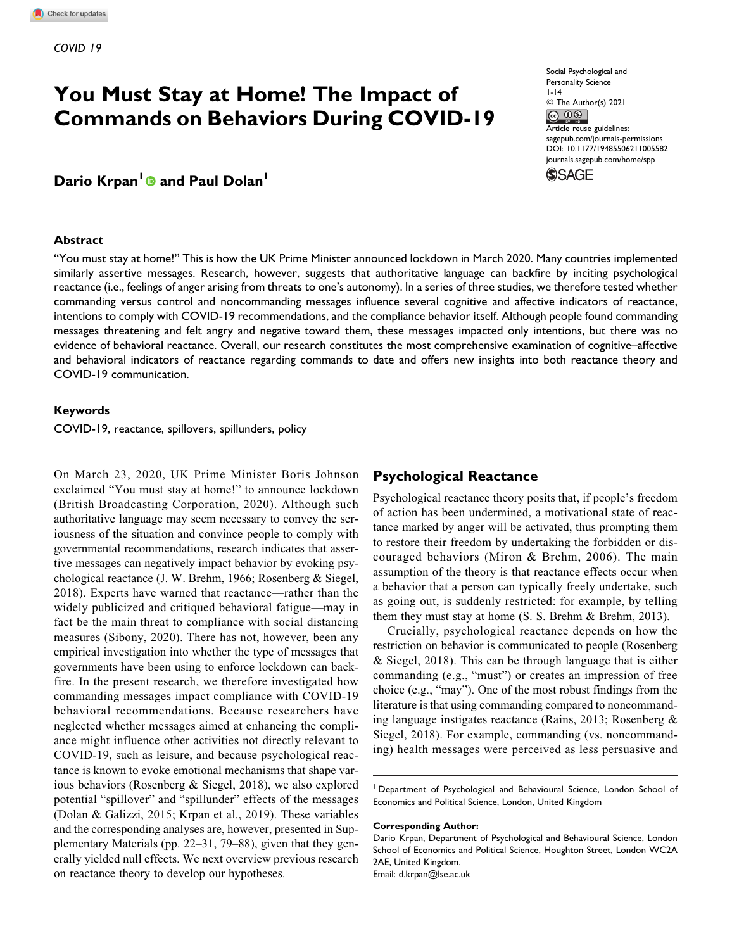# **You Must Stay at Home! The Impact of Commands on Behaviors During COVID-19**

## **Dario Krpan<sup>1</sup> and Paul Dolan1**

#### **Abstract**

Social Psychological and Personality Science 1-14  $\circledcirc$  The Author(s) 2021 Article reuse guidelines: [sagepub.com/journals-permissions](https://sagepub.com/journals-permissions) [DOI: 10.1177/19485506211005582](https://doi.org/10.1177/19485506211005582)



"You must stay at home!" This is how the UK Prime Minister announced lockdown in March 2020. Many countries implemented similarly assertive messages. Research, however, suggests that authoritative language can backfire by inciting psychological reactance (i.e., feelings of anger arising from threats to one's autonomy). In a series of three studies, we therefore tested whether commanding versus control and noncommanding messages influence several cognitive and affective indicators of reactance, intentions to comply with COVID-19 recommendations, and the compliance behavior itself. Although people found commanding messages threatening and felt angry and negative toward them, these messages impacted only intentions, but there was no evidence of behavioral reactance. Overall, our research constitutes the most comprehensive examination of cognitive–affective and behavioral indicators of reactance regarding commands to date and offers new insights into both reactance theory and COVID-19 communication.

#### **Keywords**

COVID-19, reactance, spillovers, spillunders, policy

On March 23, 2020, UK Prime Minister Boris Johnson exclaimed "You must stay at home!" to announce lockdown (British Broadcasting Corporation, 2020). Although such authoritative language may seem necessary to convey the seriousness of the situation and convince people to comply with governmental recommendations, research indicates that assertive messages can negatively impact behavior by evoking psychological reactance (J. W. Brehm, 1966; Rosenberg & Siegel, 2018). Experts have warned that reactance—rather than the widely publicized and critiqued behavioral fatigue—may in fact be the main threat to compliance with social distancing measures (Sibony, 2020). There has not, however, been any empirical investigation into whether the type of messages that governments have been using to enforce lockdown can backfire. In the present research, we therefore investigated how commanding messages impact compliance with COVID-19 behavioral recommendations. Because researchers have neglected whether messages aimed at enhancing the compliance might influence other activities not directly relevant to COVID-19, such as leisure, and because psychological reactance is known to evoke emotional mechanisms that shape various behaviors (Rosenberg & Siegel, 2018), we also explored potential "spillover" and "spillunder" effects of the messages (Dolan & Galizzi, 2015; Krpan et al., 2019). These variables and the corresponding analyses are, however, presented in Supplementary Materials (pp. 22–31, 79–88), given that they generally yielded null effects. We next overview previous research on reactance theory to develop our hypotheses.

## **Psychological Reactance**

Psychological reactance theory posits that, if people's freedom of action has been undermined, a motivational state of reactance marked by anger will be activated, thus prompting them to restore their freedom by undertaking the forbidden or discouraged behaviors (Miron & Brehm, 2006). The main assumption of the theory is that reactance effects occur when a behavior that a person can typically freely undertake, such as going out, is suddenly restricted: for example, by telling them they must stay at home (S. S. Brehm & Brehm, 2013).

Crucially, psychological reactance depends on how the restriction on behavior is communicated to people (Rosenberg & Siegel, 2018). This can be through language that is either commanding (e.g., "must") or creates an impression of free choice (e.g., "may"). One of the most robust findings from the literature is that using commanding compared to noncommanding language instigates reactance (Rains, 2013; Rosenberg & Siegel, 2018). For example, commanding (vs. noncommanding) health messages were perceived as less persuasive and

<sup>1</sup> Department of Psychological and Behavioural Science, London School of Economics and Political Science, London, United Kingdom

#### **Corresponding Author:**

Dario Krpan, Department of Psychological and Behavioural Science, London School of Economics and Political Science, Houghton Street, London WC2A 2AE, United Kingdom. Email: [d.krpan@lse.ac.uk](mailto:d.krpan@lse.ac.uk)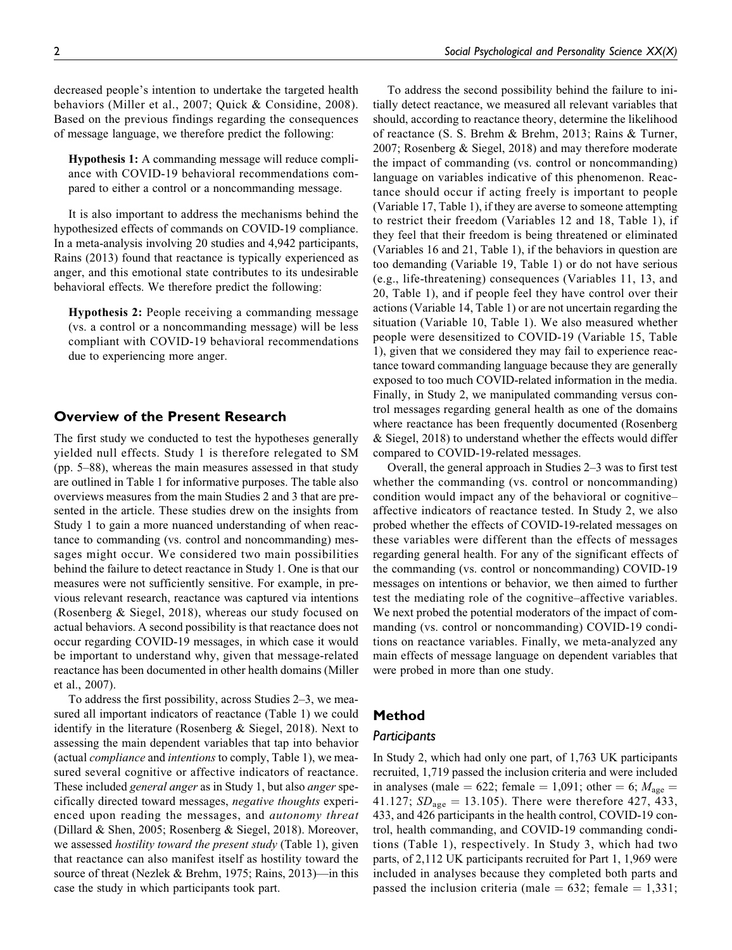decreased people's intention to undertake the targeted health behaviors (Miller et al., 2007; Quick & Considine, 2008). Based on the previous findings regarding the consequences of message language, we therefore predict the following:

Hypothesis 1: A commanding message will reduce compliance with COVID-19 behavioral recommendations compared to either a control or a noncommanding message.

It is also important to address the mechanisms behind the hypothesized effects of commands on COVID-19 compliance. In a meta-analysis involving 20 studies and 4,942 participants, Rains (2013) found that reactance is typically experienced as anger, and this emotional state contributes to its undesirable behavioral effects. We therefore predict the following:

Hypothesis 2: People receiving a commanding message (vs. a control or a noncommanding message) will be less compliant with COVID-19 behavioral recommendations due to experiencing more anger.

## **Overview of the Present Research**

The first study we conducted to test the hypotheses generally yielded null effects. Study 1 is therefore relegated to SM (pp. 5–88), whereas the main measures assessed in that study are outlined in Table 1 for informative purposes. The table also overviews measures from the main Studies 2 and 3 that are presented in the article. These studies drew on the insights from Study 1 to gain a more nuanced understanding of when reactance to commanding (vs. control and noncommanding) messages might occur. We considered two main possibilities behind the failure to detect reactance in Study 1. One is that our measures were not sufficiently sensitive. For example, in previous relevant research, reactance was captured via intentions (Rosenberg & Siegel, 2018), whereas our study focused on actual behaviors. A second possibility is that reactance does not occur regarding COVID-19 messages, in which case it would be important to understand why, given that message-related reactance has been documented in other health domains (Miller et al., 2007).

To address the first possibility, across Studies 2–3, we measured all important indicators of reactance (Table 1) we could identify in the literature (Rosenberg & Siegel, 2018). Next to assessing the main dependent variables that tap into behavior (actual compliance and intentions to comply, Table 1), we measured several cognitive or affective indicators of reactance. These included *general anger* as in Study 1, but also *anger* specifically directed toward messages, negative thoughts experienced upon reading the messages, and autonomy threat (Dillard & Shen, 2005; Rosenberg & Siegel, 2018). Moreover, we assessed *hostility toward the present study* (Table 1), given that reactance can also manifest itself as hostility toward the source of threat (Nezlek & Brehm, 1975; Rains, 2013)—in this case the study in which participants took part.

To address the second possibility behind the failure to initially detect reactance, we measured all relevant variables that should, according to reactance theory, determine the likelihood of reactance (S. S. Brehm & Brehm, 2013; Rains & Turner, 2007; Rosenberg & Siegel, 2018) and may therefore moderate the impact of commanding (vs. control or noncommanding) language on variables indicative of this phenomenon. Reactance should occur if acting freely is important to people (Variable 17, Table 1), if they are averse to someone attempting to restrict their freedom (Variables 12 and 18, Table 1), if they feel that their freedom is being threatened or eliminated (Variables 16 and 21, Table 1), if the behaviors in question are too demanding (Variable 19, Table 1) or do not have serious (e.g., life-threatening) consequences (Variables 11, 13, and 20, Table 1), and if people feel they have control over their actions (Variable 14, Table 1) or are not uncertain regarding the situation (Variable 10, Table 1). We also measured whether people were desensitized to COVID-19 (Variable 15, Table 1), given that we considered they may fail to experience reactance toward commanding language because they are generally exposed to too much COVID-related information in the media. Finally, in Study 2, we manipulated commanding versus control messages regarding general health as one of the domains where reactance has been frequently documented (Rosenberg & Siegel, 2018) to understand whether the effects would differ compared to COVID-19-related messages.

Overall, the general approach in Studies 2–3 was to first test whether the commanding (vs. control or noncommanding) condition would impact any of the behavioral or cognitive– affective indicators of reactance tested. In Study 2, we also probed whether the effects of COVID-19-related messages on these variables were different than the effects of messages regarding general health. For any of the significant effects of the commanding (vs. control or noncommanding) COVID-19 messages on intentions or behavior, we then aimed to further test the mediating role of the cognitive–affective variables. We next probed the potential moderators of the impact of commanding (vs. control or noncommanding) COVID-19 conditions on reactance variables. Finally, we meta-analyzed any main effects of message language on dependent variables that were probed in more than one study.

## **Method**

## *Participants*

In Study 2, which had only one part, of 1,763 UK participants recruited, 1,719 passed the inclusion criteria and were included in analyses (male = 622; female = 1,091; other = 6;  $M_{\text{age}}$  = 41.127;  $SD_{\text{age}} = 13.105$ ). There were therefore 427, 433, 433, and 426 participants in the health control, COVID-19 control, health commanding, and COVID-19 commanding conditions (Table 1), respectively. In Study 3, which had two parts, of 2,112 UK participants recruited for Part 1, 1,969 were included in analyses because they completed both parts and passed the inclusion criteria (male =  $632$ ; female = 1,331;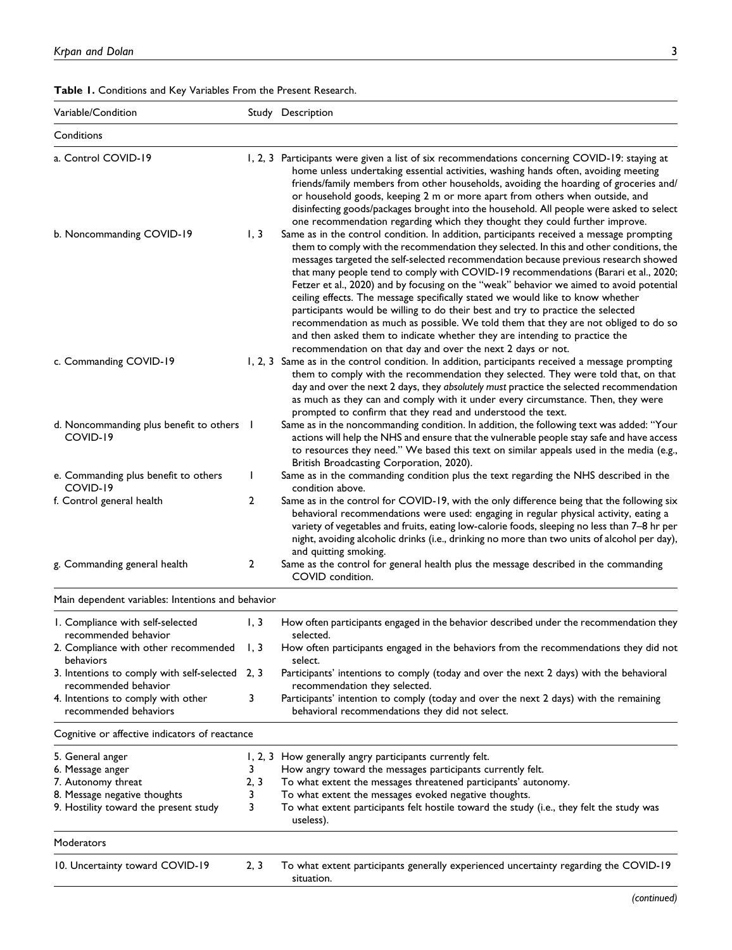| Table 1. Conditions and Key Variables From the Present Research. |  |
|------------------------------------------------------------------|--|
|------------------------------------------------------------------|--|

| Variable/Condition                                                                                                                  |                     | Study Description                                                                                                                                                                                                                                                                                                                                                                                                                                                                                                                                                                                                                                                                                                                                                                                                                                                     |
|-------------------------------------------------------------------------------------------------------------------------------------|---------------------|-----------------------------------------------------------------------------------------------------------------------------------------------------------------------------------------------------------------------------------------------------------------------------------------------------------------------------------------------------------------------------------------------------------------------------------------------------------------------------------------------------------------------------------------------------------------------------------------------------------------------------------------------------------------------------------------------------------------------------------------------------------------------------------------------------------------------------------------------------------------------|
| Conditions                                                                                                                          |                     |                                                                                                                                                                                                                                                                                                                                                                                                                                                                                                                                                                                                                                                                                                                                                                                                                                                                       |
| a. Control COVID-19                                                                                                                 |                     | 1, 2, 3 Participants were given a list of six recommendations concerning COVID-19: staying at<br>home unless undertaking essential activities, washing hands often, avoiding meeting<br>friends/family members from other households, avoiding the hoarding of groceries and/<br>or household goods, keeping 2 m or more apart from others when outside, and<br>disinfecting goods/packages brought into the household. All people were asked to select<br>one recommendation regarding which they thought they could further improve.                                                                                                                                                                                                                                                                                                                                |
| b. Noncommanding COVID-19                                                                                                           | 1, 3                | Same as in the control condition. In addition, participants received a message prompting<br>them to comply with the recommendation they selected. In this and other conditions, the<br>messages targeted the self-selected recommendation because previous research showed<br>that many people tend to comply with COVID-19 recommendations (Barari et al., 2020;<br>Fetzer et al., 2020) and by focusing on the "weak" behavior we aimed to avoid potential<br>ceiling effects. The message specifically stated we would like to know whether<br>participants would be willing to do their best and try to practice the selected<br>recommendation as much as possible. We told them that they are not obliged to do so<br>and then asked them to indicate whether they are intending to practice the<br>recommendation on that day and over the next 2 days or not. |
| c. Commanding COVID-19                                                                                                              |                     | 1, 2, 3 Same as in the control condition. In addition, participants received a message prompting<br>them to comply with the recommendation they selected. They were told that, on that<br>day and over the next 2 days, they absolutely must practice the selected recommendation<br>as much as they can and comply with it under every circumstance. Then, they were<br>prompted to confirm that they read and understood the text.                                                                                                                                                                                                                                                                                                                                                                                                                                  |
| d. Noncommanding plus benefit to others<br>COVID-19                                                                                 |                     | Same as in the noncommanding condition. In addition, the following text was added: "Your<br>actions will help the NHS and ensure that the vulnerable people stay safe and have access<br>to resources they need." We based this text on similar appeals used in the media (e.g.,<br>British Broadcasting Corporation, 2020).                                                                                                                                                                                                                                                                                                                                                                                                                                                                                                                                          |
| e. Commanding plus benefit to others<br>COVID-19                                                                                    |                     | Same as in the commanding condition plus the text regarding the NHS described in the<br>condition above.                                                                                                                                                                                                                                                                                                                                                                                                                                                                                                                                                                                                                                                                                                                                                              |
| f. Control general health<br>g. Commanding general health                                                                           | 2<br>2              | Same as in the control for COVID-19, with the only difference being that the following six<br>behavioral recommendations were used: engaging in regular physical activity, eating a<br>variety of vegetables and fruits, eating low-calorie foods, sleeping no less than 7-8 hr per<br>night, avoiding alcoholic drinks (i.e., drinking no more than two units of alcohol per day),<br>and quitting smoking.<br>Same as the control for general health plus the message described in the commanding                                                                                                                                                                                                                                                                                                                                                                   |
|                                                                                                                                     |                     | COVID condition.                                                                                                                                                                                                                                                                                                                                                                                                                                                                                                                                                                                                                                                                                                                                                                                                                                                      |
| Main dependent variables: Intentions and behavior                                                                                   |                     |                                                                                                                                                                                                                                                                                                                                                                                                                                                                                                                                                                                                                                                                                                                                                                                                                                                                       |
| I. Compliance with self-selected<br>recommended behavior                                                                            | 1, 3                | How often participants engaged in the behavior described under the recommendation they<br>selected.                                                                                                                                                                                                                                                                                                                                                                                                                                                                                                                                                                                                                                                                                                                                                                   |
| 2. Compliance with other recommended 1, 3<br>behaviors                                                                              |                     | How often participants engaged in the behaviors from the recommendations they did not<br>select.                                                                                                                                                                                                                                                                                                                                                                                                                                                                                                                                                                                                                                                                                                                                                                      |
| 3. Intentions to comply with self-selected 2, 3<br>recommended behavior                                                             |                     | Participants' intentions to comply (today and over the next 2 days) with the behavioral<br>recommendation they selected.                                                                                                                                                                                                                                                                                                                                                                                                                                                                                                                                                                                                                                                                                                                                              |
| 4. Intentions to comply with other<br>recommended behaviors                                                                         | 3                   | Participants' intention to comply (today and over the next 2 days) with the remaining<br>behavioral recommendations they did not select.                                                                                                                                                                                                                                                                                                                                                                                                                                                                                                                                                                                                                                                                                                                              |
| Cognitive or affective indicators of reactance                                                                                      |                     |                                                                                                                                                                                                                                                                                                                                                                                                                                                                                                                                                                                                                                                                                                                                                                                                                                                                       |
| 5. General anger<br>6. Message anger<br>7. Autonomy threat<br>8. Message negative thoughts<br>9. Hostility toward the present study | 3<br>2, 3<br>3<br>3 | 1, 2, 3 How generally angry participants currently felt.<br>How angry toward the messages participants currently felt.<br>To what extent the messages threatened participants' autonomy.<br>To what extent the messages evoked negative thoughts.<br>To what extent participants felt hostile toward the study (i.e., they felt the study was                                                                                                                                                                                                                                                                                                                                                                                                                                                                                                                         |
|                                                                                                                                     |                     | useless).                                                                                                                                                                                                                                                                                                                                                                                                                                                                                                                                                                                                                                                                                                                                                                                                                                                             |
| Moderators                                                                                                                          |                     |                                                                                                                                                                                                                                                                                                                                                                                                                                                                                                                                                                                                                                                                                                                                                                                                                                                                       |
| 10. Uncertainty toward COVID-19                                                                                                     | 2, 3                | To what extent participants generally experienced uncertainty regarding the COVID-19<br>situation.                                                                                                                                                                                                                                                                                                                                                                                                                                                                                                                                                                                                                                                                                                                                                                    |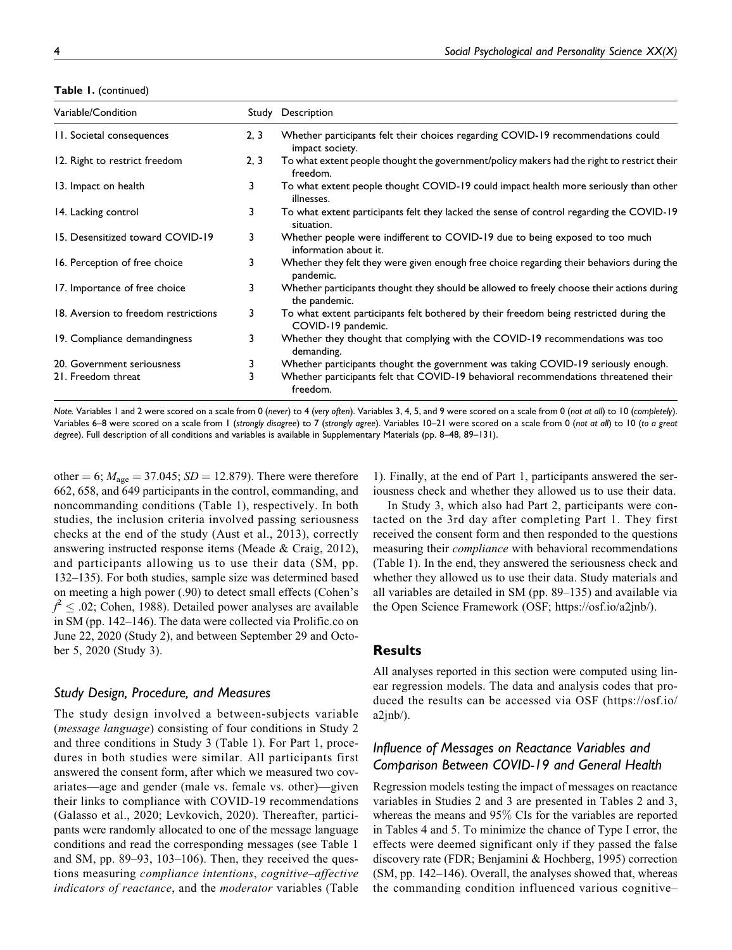**Table 1.** (continued)

| Variable/Condition                   |      | Study Description                                                                                            |
|--------------------------------------|------|--------------------------------------------------------------------------------------------------------------|
| 11. Societal consequences            | 2, 3 | Whether participants felt their choices regarding COVID-19 recommendations could<br>impact society.          |
| 12. Right to restrict freedom        | 2, 3 | To what extent people thought the government/policy makers had the right to restrict their<br>freedom.       |
| 13. Impact on health                 | 3.   | To what extent people thought COVID-19 could impact health more seriously than other<br>illnesses.           |
| 14. Lacking control                  | 3    | To what extent participants felt they lacked the sense of control regarding the COVID-19<br>situation.       |
| 15. Desensitized toward COVID-19     | 3    | Whether people were indifferent to COVID-19 due to being exposed to too much<br>information about it.        |
| 16. Perception of free choice        | 3    | Whether they felt they were given enough free choice regarding their behaviors during the<br>pandemic.       |
| 17. Importance of free choice        | 3    | Whether participants thought they should be allowed to freely choose their actions during<br>the pandemic.   |
| 18. Aversion to freedom restrictions | 3.   | To what extent participants felt bothered by their freedom being restricted during the<br>COVID-19 pandemic. |
| 19. Compliance demandingness         | 3.   | Whether they thought that complying with the COVID-19 recommendations was too<br>demanding.                  |
| 20. Government seriousness           | 3    | Whether participants thought the government was taking COVID-19 seriously enough.                            |
| 21. Freedom threat                   | 3    | Whether participants felt that COVID-19 behavioral recommendations threatened their<br>freedom.              |

*Note.* Variables 1 and 2 were scored on a scale from 0 (*never*) to 4 (*very often*). Variables 3, 4, 5, and 9 were scored on a scale from 0 (*not at all*) to 10 (*completely*). Variables 6–8 were scored on a scale from 1 (*strongly disagree*) to 7 (*strongly agree*). Variables 10–21 were scored on a scale from 0 (*not at all*) to 10 (*to a great degree*). Full description of all conditions and variables is available in Supplementary Materials (pp. 8–48, 89–131).

other = 6;  $M_{\text{age}} = 37.045$ ;  $SD = 12.879$ ). There were therefore 662, 658, and 649 participants in the control, commanding, and noncommanding conditions (Table 1), respectively. In both studies, the inclusion criteria involved passing seriousness checks at the end of the study (Aust et al., 2013), correctly answering instructed response items (Meade & Craig, 2012), and participants allowing us to use their data (SM, pp. 132–135). For both studies, sample size was determined based on meeting a high power (.90) to detect small effects (Cohen's  $f^2 \leq .02$ ; Cohen, 1988). Detailed power analyses are available in SM (pp. 142–146). The data were collected via [Prolific.co](http://Prolific.co) on June 22, 2020 (Study 2), and between September 29 and October 5, 2020 (Study 3).

## *Study Design, Procedure, and Measures*

The study design involved a between-subjects variable (message language) consisting of four conditions in Study 2 and three conditions in Study 3 (Table 1). For Part 1, procedures in both studies were similar. All participants first answered the consent form, after which we measured two covariates—age and gender (male vs. female vs. other)—given their links to compliance with COVID-19 recommendations (Galasso et al., 2020; Levkovich, 2020). Thereafter, participants were randomly allocated to one of the message language conditions and read the corresponding messages (see Table 1 and SM, pp. 89–93, 103–106). Then, they received the questions measuring compliance intentions, cognitive–affective indicators of reactance, and the moderator variables (Table

1). Finally, at the end of Part 1, participants answered the seriousness check and whether they allowed us to use their data.

In Study 3, which also had Part 2, participants were contacted on the 3rd day after completing Part 1. They first received the consent form and then responded to the questions measuring their compliance with behavioral recommendations (Table 1). In the end, they answered the seriousness check and whether they allowed us to use their data. Study materials and all variables are detailed in SM (pp. 89–135) and available via the Open Science Framework (OSF; [https://osf.io/a2jnb/\)](https://osf.io/a2jnb/).

## **Results**

All analyses reported in this section were computed using linear regression models. The data and analysis codes that produced the results can be accessed via OSF (https://osf.io/  $a2$ jnb $\lambda$ ).

## *Influence of Messages on Reactance Variables and Comparison Between COVID-19 and General Health*

Regression models testing the impact of messages on reactance variables in Studies 2 and 3 are presented in Tables 2 and 3, whereas the means and 95% CIs for the variables are reported in Tables 4 and 5. To minimize the chance of Type I error, the effects were deemed significant only if they passed the false discovery rate (FDR; Benjamini & Hochberg, 1995) correction (SM, pp. 142–146). Overall, the analyses showed that, whereas the commanding condition influenced various cognitive–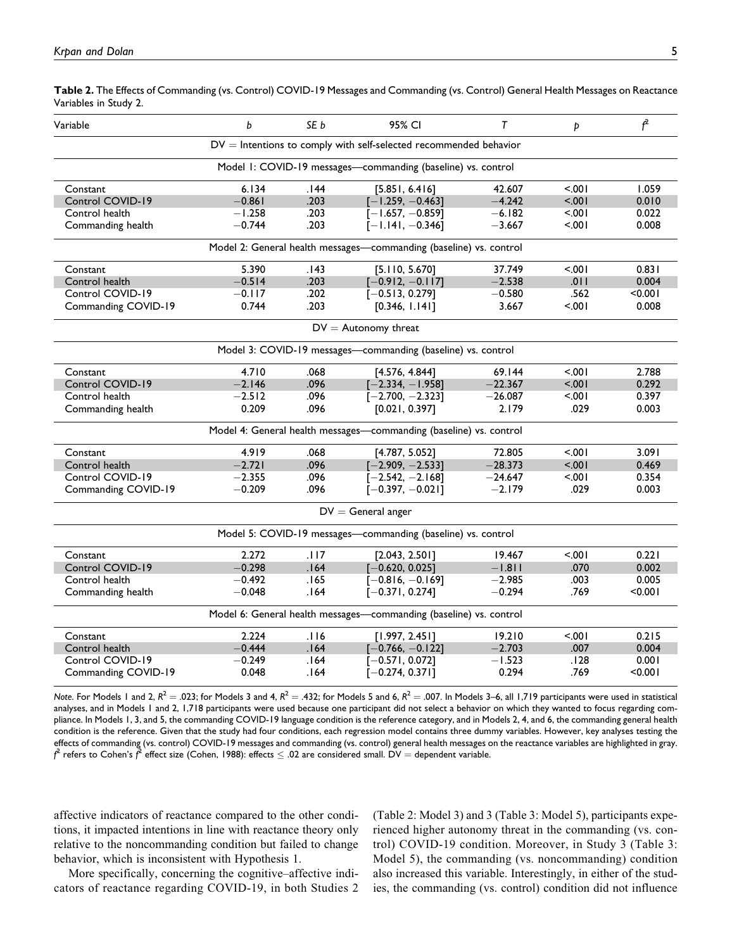**Table 2.** The Effects of Commanding (vs. Control) COVID-19 Messages and Commanding (vs. Control) General Health Messages on Reactance Variables in Study 2.

| Variable            | b        | SE b | 95% CI                                                              | T         | Þ       | $f^2$   |
|---------------------|----------|------|---------------------------------------------------------------------|-----------|---------|---------|
|                     |          |      | $DV =$ Intentions to comply with self-selected recommended behavior |           |         |         |
|                     |          |      | Model 1: COVID-19 messages-commanding (baseline) vs. control        |           |         |         |
| Constant            | 6.134    | 144. | [5.851, 6.416]                                                      | 42.607    | 5.001   | 1.059   |
| Control COVID-19    | $-0.861$ | .203 | $[-1.259, -0.463]$                                                  | $-4.242$  | $500 -$ | 0.010   |
| Control health      | $-1.258$ | .203 | $[-1.657, -0.859]$                                                  | $-6.182$  | $500 -$ | 0.022   |
| Commanding health   | $-0.744$ | .203 | $[-1.141, -0.346]$                                                  | $-3.667$  | $500 -$ | 0.008   |
|                     |          |      | Model 2: General health messages-commanding (baseline) vs. control  |           |         |         |
| Constant            | 5.390    | .143 | [5.110, 5.670]                                                      | 37.749    | 5001    | 0.831   |
| Control health      | $-0.514$ | .203 | $[-0.912, -0.117]$                                                  | $-2.538$  | .011    | 0.004   |
| Control COVID-19    | $-0.117$ | .202 | $[-0.513, 0.279]$                                                   | $-0.580$  | .562    | < 0.001 |
| Commanding COVID-19 | 0.744    | .203 | [0.346, 1.141]                                                      | 3.667     | 5001    | 0.008   |
|                     |          |      | $DV =$ Autonomy threat                                              |           |         |         |
|                     |          |      | Model 3: COVID-19 messages-commanding (baseline) vs. control        |           |         |         |
| Constant            | 4.710    | .068 | [4.576, 4.844]                                                      | 69.144    | $500 -$ | 2.788   |
| Control COVID-19    | $-2.146$ | .096 | $[-2.334, -1.958]$                                                  | $-22.367$ | $500 -$ | 0.292   |
| Control health      | $-2.512$ | .096 | $[-2.700, -2.323]$                                                  | $-26.087$ | $500 -$ | 0.397   |
| Commanding health   | 0.209    | .096 | [0.021, 0.397]                                                      | 2.179     | .029    | 0.003   |
|                     |          |      | Model 4: General health messages-commanding (baseline) vs. control  |           |         |         |
| Constant            | 4.919    | .068 | [4.787, 5.052]                                                      | 72.805    | $500 -$ | 3.091   |
| Control health      | $-2.721$ | .096 | $[-2.909, -2.533]$                                                  | $-28.373$ | $500 -$ | 0.469   |
| Control COVID-19    | $-2.355$ | .096 | $[-2.542, -2.168]$                                                  | $-24.647$ | 5.001   | 0.354   |
| Commanding COVID-19 | $-0.209$ | .096 | $[-0.397, -0.021]$                                                  | $-2.179$  | .029    | 0.003   |
|                     |          |      | $DV =$ General anger                                                |           |         |         |
|                     |          |      | Model 5: COVID-19 messages-commanding (baseline) vs. control        |           |         |         |
| Constant            | 2.272    | .117 | [2.043, 2.501]                                                      | 19.467    | 5.001   | 0.221   |
| Control COVID-19    | $-0.298$ | .164 | $[-0.620, 0.025]$                                                   | $-1.811$  | .070    | 0.002   |
| Control health      | $-0.492$ | 165. | $[-0.816, -0.169]$                                                  | $-2.985$  | .003    | 0.005   |
| Commanding health   | $-0.048$ | .164 | $[-0.371, 0.274]$                                                   | $-0.294$  | .769    | < 0.001 |
|                     |          |      | Model 6: General health messages-commanding (baseline) vs. control  |           |         |         |
| Constant            | 2.224    | .116 | [1.997, 2.451]                                                      | 19.210    | 5001    | 0.215   |
| Control health      | $-0.444$ | .164 | $[-0.766, -0.122]$                                                  | $-2.703$  | .007    | 0.004   |
| Control COVID-19    | $-0.249$ | .164 | $[-0.571, 0.072]$                                                   | $-1.523$  | .128    | 0.001   |
| Commanding COVID-19 | 0.048    | .164 | $[-0.274, 0.371]$                                                   | 0.294     | .769    | < 0.001 |
|                     |          |      |                                                                     |           |         |         |

*Note*. For Models 1 and 2,  $R^2 = .023$ ; for Models 3 and 4,  $R^2 = .432$ ; for Models 5 and 6,  $R^2 = .007$ . In Models 3–6, all 1,719 participants were used in statistical analyses, and in Models 1 and 2, 1,718 participants were used because one participant did not select a behavior on which they wanted to focus regarding compliance. In Models 1, 3, and 5, the commanding COVID-19 language condition is the reference category, and in Models 2, 4, and 6, the commanding general health condition is the reference. Given that the study had four conditions, each regression model contains three dummy variables. However, key analyses testing the effects of commanding (vs. control) COVID-19 messages and commanding (vs. control) general health messages on the reactance variables are highlighted in gray.  $f^2$  refers to Cohen's  $\vec{f}^2$  effect size (Cohen, 1988): effects  $\leq .02$  are considered small. DV  $=$  dependent variable.

affective indicators of reactance compared to the other conditions, it impacted intentions in line with reactance theory only relative to the noncommanding condition but failed to change behavior, which is inconsistent with Hypothesis 1.

More specifically, concerning the cognitive–affective indicators of reactance regarding COVID-19, in both Studies 2 (Table 2: Model 3) and 3 (Table 3: Model 5), participants experienced higher autonomy threat in the commanding (vs. control) COVID-19 condition. Moreover, in Study 3 (Table 3: Model 5), the commanding (vs. noncommanding) condition also increased this variable. Interestingly, in either of the studies, the commanding (vs. control) condition did not influence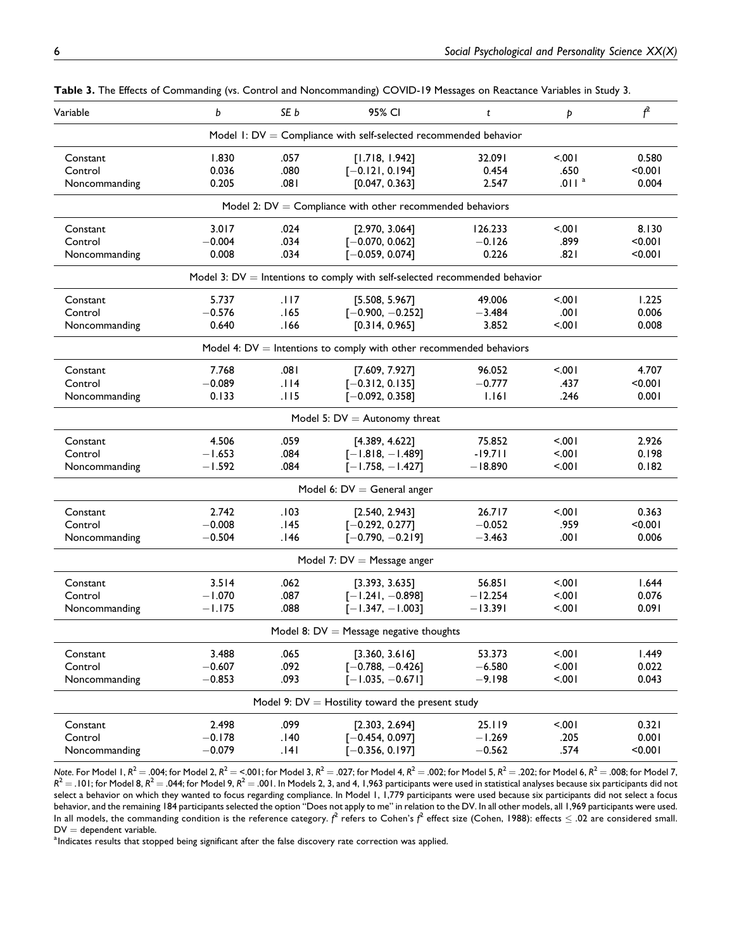| Model 1: $DV =$ Compliance with self-selected recommended behavior<br>Constant<br>1.830<br>.057<br>[1.718, 1.942]<br>$500 -$<br>0.580<br>32.091<br>0.036<br>.080<br>.650<br>< 0.001<br>Control<br>$[-0.121, 0.194]$<br>0.454<br>.011 <sup>a</sup><br>0.205<br>.081<br>[0.047, 0.363]<br>2.547<br>0.004<br>Noncommanding<br>Model 2: $DV =$ Compliance with other recommended behaviors<br>3.017<br>.024<br>[2.970, 3.064]<br>$500 -$<br>8.130<br>Constant<br>126.233<br>< 0.001<br>Control<br>$-0.004$<br>.034<br>$[-0.070, 0.062]$<br>$-0.126$<br>.899<br>0.008<br>.034<br>$[-0.059, 0.074]$<br>0.226<br>.821<br>< 0.001<br>Noncommanding<br>Model 3: $DV =$ Intentions to comply with self-selected recommended behavior<br>5.737<br>.117<br>49.006<br>$500 -$<br>1.225<br>Constant<br>[5.508, 5.967]<br>Control<br>$-0.576$<br>.165<br>.001<br>0.006<br>$[-0.900, -0.252]$<br>$-3.484$<br>0.640<br>166.<br>[0.314, 0.965]<br>3.852<br>5.001<br>0.008<br>Noncommanding<br>Model 4: $DV =$ Intentions to comply with other recommended behaviors<br>7.768<br>4.707<br>.081<br>96.052<br>$500 -$<br>Constant<br>[7.609, 7.927]<br>.114<br>Control<br>$-0.089$<br>$[-0.312, 0.135]$<br>$-0.777$<br>.437<br>< 0.001<br>0.133<br>.115<br>1.161<br>.246<br>0.001<br>Noncommanding<br>$[-0.092, 0.358]$<br>Model 5: $DV =$ Autonomy threat<br>4.506<br>.059<br>75.852<br>$500 -$<br>2.926<br>Constant<br>[4.389, 4.622]<br>$-1.653$<br>$-19.711$<br>Control<br>.084<br>$[-1.818, -1.489]$<br>$500 -$<br>0.198<br>$-1.592$<br>.084<br>$[-1.758, -1.427]$<br>$-18.890$<br>5.001<br>0.182<br>Noncommanding<br>Model 6: $DV =$ General anger<br>2.742<br>.103<br>[2.540, 2.943]<br>26.717<br>$500 -$<br>0.363<br>Constant<br>Control<br>$-0.008$<br>$-0.052$<br>.959<br>< 0.001<br>145.<br>$[-0.292, 0.277]$<br>$-0.504$<br>146.<br>$[-0.790, -0.219]$<br>.001<br>0.006<br>Noncommanding<br>$-3.463$<br>Model 7: $DV =$ Message anger<br>3.514<br>.062<br>$500 -$<br>1.644<br>Constant<br>[3.393, 3.635]<br>56.851<br>$-1.070$<br>Control<br>.087<br>$[-1.241, -0.898]$<br>$-12.254$<br>< 0.01<br>0.076<br>.088<br>$-1.175$<br>$[-1.347, -1.003]$<br>$-13.391$<br>< 0.01<br>0.091<br>Noncommanding<br>Model 8: $DV =$ Message negative thoughts<br>3.488<br>5.001<br>.065<br>[3.360, 3.616]<br>53.373<br>1.449<br>Constant<br>$-0.607$<br>.092<br>$-6.580$<br>< 0.01<br>0.022<br>Control<br>$[-0.788, -0.426]$<br>$-0.853$<br>.093<br>< .001<br>0.043<br>Noncommanding<br>$[-1.035, -0.671]$<br>$-9.198$<br>Model 9: $DV =$ Hostility toward the present study<br>.099<br>5.001<br>0.321<br>Constant<br>2.498<br>[2.303, 2.694]<br>25.119<br>.205<br>0.001<br>Control<br>$-0.178$<br>.140<br>$[-0.454, 0.097]$<br>$-1.269$<br>$-0.079$<br>Noncommanding<br>.141<br>$[-0.356, 0.197]$<br>$-0.562$<br>.574<br>< 0.001 | Variable | b | SE b | 95% CI | t | Þ | $f^2$ |  |  |  |  |  |
|------------------------------------------------------------------------------------------------------------------------------------------------------------------------------------------------------------------------------------------------------------------------------------------------------------------------------------------------------------------------------------------------------------------------------------------------------------------------------------------------------------------------------------------------------------------------------------------------------------------------------------------------------------------------------------------------------------------------------------------------------------------------------------------------------------------------------------------------------------------------------------------------------------------------------------------------------------------------------------------------------------------------------------------------------------------------------------------------------------------------------------------------------------------------------------------------------------------------------------------------------------------------------------------------------------------------------------------------------------------------------------------------------------------------------------------------------------------------------------------------------------------------------------------------------------------------------------------------------------------------------------------------------------------------------------------------------------------------------------------------------------------------------------------------------------------------------------------------------------------------------------------------------------------------------------------------------------------------------------------------------------------------------------------------------------------------------------------------------------------------------------------------------------------------------------------------------------------------------------------------------------------------------------------------------------------------------------------------------------------------------------------------------------------------------------------------------------------------------------------------------------------------------------------------------------------------------------------------------------------------------------------------------------------------------------------------------------------------------------------------------------------------------------------------------------|----------|---|------|--------|---|---|-------|--|--|--|--|--|
|                                                                                                                                                                                                                                                                                                                                                                                                                                                                                                                                                                                                                                                                                                                                                                                                                                                                                                                                                                                                                                                                                                                                                                                                                                                                                                                                                                                                                                                                                                                                                                                                                                                                                                                                                                                                                                                                                                                                                                                                                                                                                                                                                                                                                                                                                                                                                                                                                                                                                                                                                                                                                                                                                                                                                                                                            |          |   |      |        |   |   |       |  |  |  |  |  |
|                                                                                                                                                                                                                                                                                                                                                                                                                                                                                                                                                                                                                                                                                                                                                                                                                                                                                                                                                                                                                                                                                                                                                                                                                                                                                                                                                                                                                                                                                                                                                                                                                                                                                                                                                                                                                                                                                                                                                                                                                                                                                                                                                                                                                                                                                                                                                                                                                                                                                                                                                                                                                                                                                                                                                                                                            |          |   |      |        |   |   |       |  |  |  |  |  |
|                                                                                                                                                                                                                                                                                                                                                                                                                                                                                                                                                                                                                                                                                                                                                                                                                                                                                                                                                                                                                                                                                                                                                                                                                                                                                                                                                                                                                                                                                                                                                                                                                                                                                                                                                                                                                                                                                                                                                                                                                                                                                                                                                                                                                                                                                                                                                                                                                                                                                                                                                                                                                                                                                                                                                                                                            |          |   |      |        |   |   |       |  |  |  |  |  |
|                                                                                                                                                                                                                                                                                                                                                                                                                                                                                                                                                                                                                                                                                                                                                                                                                                                                                                                                                                                                                                                                                                                                                                                                                                                                                                                                                                                                                                                                                                                                                                                                                                                                                                                                                                                                                                                                                                                                                                                                                                                                                                                                                                                                                                                                                                                                                                                                                                                                                                                                                                                                                                                                                                                                                                                                            |          |   |      |        |   |   |       |  |  |  |  |  |
|                                                                                                                                                                                                                                                                                                                                                                                                                                                                                                                                                                                                                                                                                                                                                                                                                                                                                                                                                                                                                                                                                                                                                                                                                                                                                                                                                                                                                                                                                                                                                                                                                                                                                                                                                                                                                                                                                                                                                                                                                                                                                                                                                                                                                                                                                                                                                                                                                                                                                                                                                                                                                                                                                                                                                                                                            |          |   |      |        |   |   |       |  |  |  |  |  |
|                                                                                                                                                                                                                                                                                                                                                                                                                                                                                                                                                                                                                                                                                                                                                                                                                                                                                                                                                                                                                                                                                                                                                                                                                                                                                                                                                                                                                                                                                                                                                                                                                                                                                                                                                                                                                                                                                                                                                                                                                                                                                                                                                                                                                                                                                                                                                                                                                                                                                                                                                                                                                                                                                                                                                                                                            |          |   |      |        |   |   |       |  |  |  |  |  |
|                                                                                                                                                                                                                                                                                                                                                                                                                                                                                                                                                                                                                                                                                                                                                                                                                                                                                                                                                                                                                                                                                                                                                                                                                                                                                                                                                                                                                                                                                                                                                                                                                                                                                                                                                                                                                                                                                                                                                                                                                                                                                                                                                                                                                                                                                                                                                                                                                                                                                                                                                                                                                                                                                                                                                                                                            |          |   |      |        |   |   |       |  |  |  |  |  |
|                                                                                                                                                                                                                                                                                                                                                                                                                                                                                                                                                                                                                                                                                                                                                                                                                                                                                                                                                                                                                                                                                                                                                                                                                                                                                                                                                                                                                                                                                                                                                                                                                                                                                                                                                                                                                                                                                                                                                                                                                                                                                                                                                                                                                                                                                                                                                                                                                                                                                                                                                                                                                                                                                                                                                                                                            |          |   |      |        |   |   |       |  |  |  |  |  |
|                                                                                                                                                                                                                                                                                                                                                                                                                                                                                                                                                                                                                                                                                                                                                                                                                                                                                                                                                                                                                                                                                                                                                                                                                                                                                                                                                                                                                                                                                                                                                                                                                                                                                                                                                                                                                                                                                                                                                                                                                                                                                                                                                                                                                                                                                                                                                                                                                                                                                                                                                                                                                                                                                                                                                                                                            |          |   |      |        |   |   |       |  |  |  |  |  |
|                                                                                                                                                                                                                                                                                                                                                                                                                                                                                                                                                                                                                                                                                                                                                                                                                                                                                                                                                                                                                                                                                                                                                                                                                                                                                                                                                                                                                                                                                                                                                                                                                                                                                                                                                                                                                                                                                                                                                                                                                                                                                                                                                                                                                                                                                                                                                                                                                                                                                                                                                                                                                                                                                                                                                                                                            |          |   |      |        |   |   |       |  |  |  |  |  |
|                                                                                                                                                                                                                                                                                                                                                                                                                                                                                                                                                                                                                                                                                                                                                                                                                                                                                                                                                                                                                                                                                                                                                                                                                                                                                                                                                                                                                                                                                                                                                                                                                                                                                                                                                                                                                                                                                                                                                                                                                                                                                                                                                                                                                                                                                                                                                                                                                                                                                                                                                                                                                                                                                                                                                                                                            |          |   |      |        |   |   |       |  |  |  |  |  |
|                                                                                                                                                                                                                                                                                                                                                                                                                                                                                                                                                                                                                                                                                                                                                                                                                                                                                                                                                                                                                                                                                                                                                                                                                                                                                                                                                                                                                                                                                                                                                                                                                                                                                                                                                                                                                                                                                                                                                                                                                                                                                                                                                                                                                                                                                                                                                                                                                                                                                                                                                                                                                                                                                                                                                                                                            |          |   |      |        |   |   |       |  |  |  |  |  |
|                                                                                                                                                                                                                                                                                                                                                                                                                                                                                                                                                                                                                                                                                                                                                                                                                                                                                                                                                                                                                                                                                                                                                                                                                                                                                                                                                                                                                                                                                                                                                                                                                                                                                                                                                                                                                                                                                                                                                                                                                                                                                                                                                                                                                                                                                                                                                                                                                                                                                                                                                                                                                                                                                                                                                                                                            |          |   |      |        |   |   |       |  |  |  |  |  |
|                                                                                                                                                                                                                                                                                                                                                                                                                                                                                                                                                                                                                                                                                                                                                                                                                                                                                                                                                                                                                                                                                                                                                                                                                                                                                                                                                                                                                                                                                                                                                                                                                                                                                                                                                                                                                                                                                                                                                                                                                                                                                                                                                                                                                                                                                                                                                                                                                                                                                                                                                                                                                                                                                                                                                                                                            |          |   |      |        |   |   |       |  |  |  |  |  |
|                                                                                                                                                                                                                                                                                                                                                                                                                                                                                                                                                                                                                                                                                                                                                                                                                                                                                                                                                                                                                                                                                                                                                                                                                                                                                                                                                                                                                                                                                                                                                                                                                                                                                                                                                                                                                                                                                                                                                                                                                                                                                                                                                                                                                                                                                                                                                                                                                                                                                                                                                                                                                                                                                                                                                                                                            |          |   |      |        |   |   |       |  |  |  |  |  |
|                                                                                                                                                                                                                                                                                                                                                                                                                                                                                                                                                                                                                                                                                                                                                                                                                                                                                                                                                                                                                                                                                                                                                                                                                                                                                                                                                                                                                                                                                                                                                                                                                                                                                                                                                                                                                                                                                                                                                                                                                                                                                                                                                                                                                                                                                                                                                                                                                                                                                                                                                                                                                                                                                                                                                                                                            |          |   |      |        |   |   |       |  |  |  |  |  |
|                                                                                                                                                                                                                                                                                                                                                                                                                                                                                                                                                                                                                                                                                                                                                                                                                                                                                                                                                                                                                                                                                                                                                                                                                                                                                                                                                                                                                                                                                                                                                                                                                                                                                                                                                                                                                                                                                                                                                                                                                                                                                                                                                                                                                                                                                                                                                                                                                                                                                                                                                                                                                                                                                                                                                                                                            |          |   |      |        |   |   |       |  |  |  |  |  |
|                                                                                                                                                                                                                                                                                                                                                                                                                                                                                                                                                                                                                                                                                                                                                                                                                                                                                                                                                                                                                                                                                                                                                                                                                                                                                                                                                                                                                                                                                                                                                                                                                                                                                                                                                                                                                                                                                                                                                                                                                                                                                                                                                                                                                                                                                                                                                                                                                                                                                                                                                                                                                                                                                                                                                                                                            |          |   |      |        |   |   |       |  |  |  |  |  |
|                                                                                                                                                                                                                                                                                                                                                                                                                                                                                                                                                                                                                                                                                                                                                                                                                                                                                                                                                                                                                                                                                                                                                                                                                                                                                                                                                                                                                                                                                                                                                                                                                                                                                                                                                                                                                                                                                                                                                                                                                                                                                                                                                                                                                                                                                                                                                                                                                                                                                                                                                                                                                                                                                                                                                                                                            |          |   |      |        |   |   |       |  |  |  |  |  |
|                                                                                                                                                                                                                                                                                                                                                                                                                                                                                                                                                                                                                                                                                                                                                                                                                                                                                                                                                                                                                                                                                                                                                                                                                                                                                                                                                                                                                                                                                                                                                                                                                                                                                                                                                                                                                                                                                                                                                                                                                                                                                                                                                                                                                                                                                                                                                                                                                                                                                                                                                                                                                                                                                                                                                                                                            |          |   |      |        |   |   |       |  |  |  |  |  |
|                                                                                                                                                                                                                                                                                                                                                                                                                                                                                                                                                                                                                                                                                                                                                                                                                                                                                                                                                                                                                                                                                                                                                                                                                                                                                                                                                                                                                                                                                                                                                                                                                                                                                                                                                                                                                                                                                                                                                                                                                                                                                                                                                                                                                                                                                                                                                                                                                                                                                                                                                                                                                                                                                                                                                                                                            |          |   |      |        |   |   |       |  |  |  |  |  |
|                                                                                                                                                                                                                                                                                                                                                                                                                                                                                                                                                                                                                                                                                                                                                                                                                                                                                                                                                                                                                                                                                                                                                                                                                                                                                                                                                                                                                                                                                                                                                                                                                                                                                                                                                                                                                                                                                                                                                                                                                                                                                                                                                                                                                                                                                                                                                                                                                                                                                                                                                                                                                                                                                                                                                                                                            |          |   |      |        |   |   |       |  |  |  |  |  |
|                                                                                                                                                                                                                                                                                                                                                                                                                                                                                                                                                                                                                                                                                                                                                                                                                                                                                                                                                                                                                                                                                                                                                                                                                                                                                                                                                                                                                                                                                                                                                                                                                                                                                                                                                                                                                                                                                                                                                                                                                                                                                                                                                                                                                                                                                                                                                                                                                                                                                                                                                                                                                                                                                                                                                                                                            |          |   |      |        |   |   |       |  |  |  |  |  |
|                                                                                                                                                                                                                                                                                                                                                                                                                                                                                                                                                                                                                                                                                                                                                                                                                                                                                                                                                                                                                                                                                                                                                                                                                                                                                                                                                                                                                                                                                                                                                                                                                                                                                                                                                                                                                                                                                                                                                                                                                                                                                                                                                                                                                                                                                                                                                                                                                                                                                                                                                                                                                                                                                                                                                                                                            |          |   |      |        |   |   |       |  |  |  |  |  |
|                                                                                                                                                                                                                                                                                                                                                                                                                                                                                                                                                                                                                                                                                                                                                                                                                                                                                                                                                                                                                                                                                                                                                                                                                                                                                                                                                                                                                                                                                                                                                                                                                                                                                                                                                                                                                                                                                                                                                                                                                                                                                                                                                                                                                                                                                                                                                                                                                                                                                                                                                                                                                                                                                                                                                                                                            |          |   |      |        |   |   |       |  |  |  |  |  |
|                                                                                                                                                                                                                                                                                                                                                                                                                                                                                                                                                                                                                                                                                                                                                                                                                                                                                                                                                                                                                                                                                                                                                                                                                                                                                                                                                                                                                                                                                                                                                                                                                                                                                                                                                                                                                                                                                                                                                                                                                                                                                                                                                                                                                                                                                                                                                                                                                                                                                                                                                                                                                                                                                                                                                                                                            |          |   |      |        |   |   |       |  |  |  |  |  |
|                                                                                                                                                                                                                                                                                                                                                                                                                                                                                                                                                                                                                                                                                                                                                                                                                                                                                                                                                                                                                                                                                                                                                                                                                                                                                                                                                                                                                                                                                                                                                                                                                                                                                                                                                                                                                                                                                                                                                                                                                                                                                                                                                                                                                                                                                                                                                                                                                                                                                                                                                                                                                                                                                                                                                                                                            |          |   |      |        |   |   |       |  |  |  |  |  |
|                                                                                                                                                                                                                                                                                                                                                                                                                                                                                                                                                                                                                                                                                                                                                                                                                                                                                                                                                                                                                                                                                                                                                                                                                                                                                                                                                                                                                                                                                                                                                                                                                                                                                                                                                                                                                                                                                                                                                                                                                                                                                                                                                                                                                                                                                                                                                                                                                                                                                                                                                                                                                                                                                                                                                                                                            |          |   |      |        |   |   |       |  |  |  |  |  |
|                                                                                                                                                                                                                                                                                                                                                                                                                                                                                                                                                                                                                                                                                                                                                                                                                                                                                                                                                                                                                                                                                                                                                                                                                                                                                                                                                                                                                                                                                                                                                                                                                                                                                                                                                                                                                                                                                                                                                                                                                                                                                                                                                                                                                                                                                                                                                                                                                                                                                                                                                                                                                                                                                                                                                                                                            |          |   |      |        |   |   |       |  |  |  |  |  |
|                                                                                                                                                                                                                                                                                                                                                                                                                                                                                                                                                                                                                                                                                                                                                                                                                                                                                                                                                                                                                                                                                                                                                                                                                                                                                                                                                                                                                                                                                                                                                                                                                                                                                                                                                                                                                                                                                                                                                                                                                                                                                                                                                                                                                                                                                                                                                                                                                                                                                                                                                                                                                                                                                                                                                                                                            |          |   |      |        |   |   |       |  |  |  |  |  |
|                                                                                                                                                                                                                                                                                                                                                                                                                                                                                                                                                                                                                                                                                                                                                                                                                                                                                                                                                                                                                                                                                                                                                                                                                                                                                                                                                                                                                                                                                                                                                                                                                                                                                                                                                                                                                                                                                                                                                                                                                                                                                                                                                                                                                                                                                                                                                                                                                                                                                                                                                                                                                                                                                                                                                                                                            |          |   |      |        |   |   |       |  |  |  |  |  |
|                                                                                                                                                                                                                                                                                                                                                                                                                                                                                                                                                                                                                                                                                                                                                                                                                                                                                                                                                                                                                                                                                                                                                                                                                                                                                                                                                                                                                                                                                                                                                                                                                                                                                                                                                                                                                                                                                                                                                                                                                                                                                                                                                                                                                                                                                                                                                                                                                                                                                                                                                                                                                                                                                                                                                                                                            |          |   |      |        |   |   |       |  |  |  |  |  |
|                                                                                                                                                                                                                                                                                                                                                                                                                                                                                                                                                                                                                                                                                                                                                                                                                                                                                                                                                                                                                                                                                                                                                                                                                                                                                                                                                                                                                                                                                                                                                                                                                                                                                                                                                                                                                                                                                                                                                                                                                                                                                                                                                                                                                                                                                                                                                                                                                                                                                                                                                                                                                                                                                                                                                                                                            |          |   |      |        |   |   |       |  |  |  |  |  |
|                                                                                                                                                                                                                                                                                                                                                                                                                                                                                                                                                                                                                                                                                                                                                                                                                                                                                                                                                                                                                                                                                                                                                                                                                                                                                                                                                                                                                                                                                                                                                                                                                                                                                                                                                                                                                                                                                                                                                                                                                                                                                                                                                                                                                                                                                                                                                                                                                                                                                                                                                                                                                                                                                                                                                                                                            |          |   |      |        |   |   |       |  |  |  |  |  |
|                                                                                                                                                                                                                                                                                                                                                                                                                                                                                                                                                                                                                                                                                                                                                                                                                                                                                                                                                                                                                                                                                                                                                                                                                                                                                                                                                                                                                                                                                                                                                                                                                                                                                                                                                                                                                                                                                                                                                                                                                                                                                                                                                                                                                                                                                                                                                                                                                                                                                                                                                                                                                                                                                                                                                                                                            |          |   |      |        |   |   |       |  |  |  |  |  |
|                                                                                                                                                                                                                                                                                                                                                                                                                                                                                                                                                                                                                                                                                                                                                                                                                                                                                                                                                                                                                                                                                                                                                                                                                                                                                                                                                                                                                                                                                                                                                                                                                                                                                                                                                                                                                                                                                                                                                                                                                                                                                                                                                                                                                                                                                                                                                                                                                                                                                                                                                                                                                                                                                                                                                                                                            |          |   |      |        |   |   |       |  |  |  |  |  |

**Table 3.** The Effects of Commanding (vs. Control and Noncommanding) COVID-19 Messages on Reactance Variables in Study 3.

*Note*. For Model 1,  $R^2 = .004$ ; for Model 2,  $R^2 = .001$ ; for Model 3,  $R^2 = .027$ ; for Model 4,  $R^2 = .002$ ; for Model 5,  $R^2 = .202$ ; for Model 6,  $R^2 = .008$ ; for Model 7,  $R^2 = .101$ ; for Model 8,  $R^2 = .044$ ; for Model 9,  $R^2 = .001$ . In Models 2, 3, and 4, 1,963 participants were used in statistical analyses because six participants did not select a behavior on which they wanted to focus regarding compliance. In Model 1, 1,779 participants were used because six participants did not select a focus behavior, and the remaining 184 participants selected the option "Does not apply to me" in relation to the DV. In all other models, all 1,969 participants were used. In all models, the commanding condition is the reference category.  $f^2$  refers to Cohen's  $f^2$  effect size (Cohen, 1988): effects  $\leq .02$  are considered small.  $DV =$  dependent variable.

<sup>a</sup> Indicates results that stopped being significant after the false discovery rate correction was applied.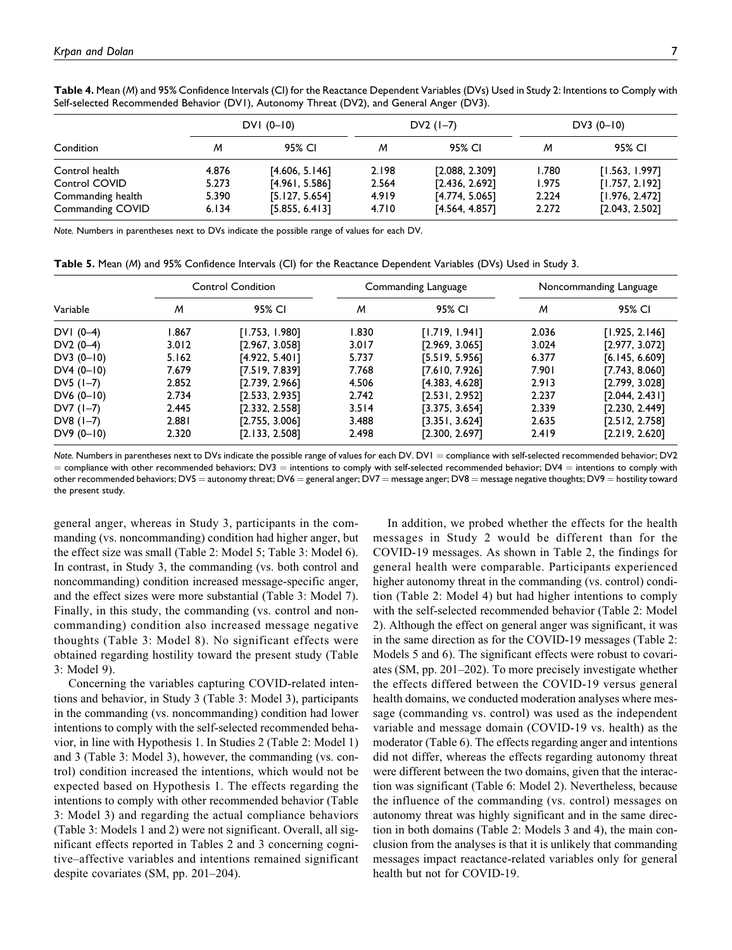|                   |       | $DVI (0-10)$   |       | $DV2(1-7)$     | $DV3(0-10)$ |                |
|-------------------|-------|----------------|-------|----------------|-------------|----------------|
| Condition         | м     | 95% CI         | м     | 95% CI         | м           | 95% CI         |
| Control health    | 4.876 | [4.606, 5.146] | 2.198 | [2.088, 2.309] | 1.780       | [1.563, 1.997] |
| Control COVID     | 5.273 | [4.961, 5.586] | 2.564 | [2.436, 2.692] | 1.975       | [1.757, 2.192] |
| Commanding health | 5.390 | [5.127, 5.654] | 4.919 | [4.774, 5.065] | 2.224       | [1.976, 2.472] |
| Commanding COVID  | 6.134 | [5.855, 6.413] | 4.710 | [4.564, 4.857] | 2.272       | [2.043, 2.502] |

**Table 4.** Mean (*M*) and 95% Confidence Intervals (CI) for the Reactance Dependent Variables (DVs) Used in Study 2: Intentions to Comply with Self-selected Recommended Behavior (DV1), Autonomy Threat (DV2), and General Anger (DV3).

*Note.* Numbers in parentheses next to DVs indicate the possible range of values for each DV.

**Table 5.** Mean (*M*) and 95% Confidence Intervals (CI) for the Reactance Dependent Variables (DVs) Used in Study 3.

|              |       | <b>Control Condition</b> |       | Commanding Language | Noncommanding Language |                |
|--------------|-------|--------------------------|-------|---------------------|------------------------|----------------|
| Variable     | м     | 95% CI                   | м     | 95% CI              | M                      | 95% CI         |
| $DVI (0-4)$  | 1.867 | [1.753, 1.980]           | 1.830 | [1.719, 1.941]      | 2.036                  | [1.925, 2.146] |
| DV2 $(0-4)$  | 3.012 | [2.967, 3.058]           | 3.017 | [2.969, 3.065]      | 3.024                  | [2.977, 3.072] |
| DV3 $(0-10)$ | 5.162 | [4.922, 5.401]           | 5.737 | [5.519, 5.956]      | 6.377                  | [6.145, 6.609] |
| $DY4(0-10)$  | 7.679 | [7.519, 7.839]           | 7.768 | [7.610, 7.926]      | 7.901                  | [7.743, 8.060] |
| $DY5(1-7)$   | 2.852 | [2.739, 2.966]           | 4.506 | [4.383, 4.628]      | 2.913                  | [2.799, 3.028] |
| $DV6(0-10)$  | 2.734 | [2.533, 2.935]           | 2.742 | [2.531, 2.952]      | 2.237                  | [2.044, 2.43]  |
| $DV7(1-7)$   | 2.445 | [2.332, 2.558]           | 3.514 | [3.375, 3.654]      | 2.339                  | [2.230, 2.449] |
| DV8 $(1-7)$  | 2.881 | [2.755, 3.006]           | 3.488 | [3.351, 3.624]      | 2.635                  | [2.512, 2.758] |
| $DV9(0-10)$  | 2.320 | [2.133, 2.508]           | 2.498 | [2.300, 2.697]      | 2.419                  | [2.219, 2.620] |

Note. Numbers in parentheses next to DVs indicate the possible range of values for each DV. DVI = compliance with self-selected recommended behavior; DV2  $=$  compliance with other recommended behaviors; DV3  $=$  intentions to comply with self-selected recommended behavior; DV4  $=$  intentions to comply with other recommended behaviors; DV5 = autonomy threat; DV6 = general anger; DV7 = message anger; DV8 = message negative thoughts; DV9 = hostility toward the present study.

general anger, whereas in Study 3, participants in the commanding (vs. noncommanding) condition had higher anger, but the effect size was small (Table 2: Model 5; Table 3: Model 6). In contrast, in Study 3, the commanding (vs. both control and noncommanding) condition increased message-specific anger, and the effect sizes were more substantial (Table 3: Model 7). Finally, in this study, the commanding (vs. control and noncommanding) condition also increased message negative thoughts (Table 3: Model 8). No significant effects were obtained regarding hostility toward the present study (Table 3: Model 9).

Concerning the variables capturing COVID-related intentions and behavior, in Study 3 (Table 3: Model 3), participants in the commanding (vs. noncommanding) condition had lower intentions to comply with the self-selected recommended behavior, in line with Hypothesis 1. In Studies 2 (Table 2: Model 1) and 3 (Table 3: Model 3), however, the commanding (vs. control) condition increased the intentions, which would not be expected based on Hypothesis 1. The effects regarding the intentions to comply with other recommended behavior (Table 3: Model 3) and regarding the actual compliance behaviors (Table 3: Models 1 and 2) were not significant. Overall, all significant effects reported in Tables 2 and 3 concerning cognitive–affective variables and intentions remained significant despite covariates (SM, pp. 201–204).

In addition, we probed whether the effects for the health messages in Study 2 would be different than for the COVID-19 messages. As shown in Table 2, the findings for general health were comparable. Participants experienced higher autonomy threat in the commanding (vs. control) condition (Table 2: Model 4) but had higher intentions to comply with the self-selected recommended behavior (Table 2: Model 2). Although the effect on general anger was significant, it was in the same direction as for the COVID-19 messages (Table 2: Models 5 and 6). The significant effects were robust to covariates (SM, pp. 201–202). To more precisely investigate whether the effects differed between the COVID-19 versus general health domains, we conducted moderation analyses where message (commanding vs. control) was used as the independent variable and message domain (COVID-19 vs. health) as the moderator (Table 6). The effects regarding anger and intentions did not differ, whereas the effects regarding autonomy threat were different between the two domains, given that the interaction was significant (Table 6: Model 2). Nevertheless, because the influence of the commanding (vs. control) messages on autonomy threat was highly significant and in the same direction in both domains (Table 2: Models 3 and 4), the main conclusion from the analyses is that it is unlikely that commanding messages impact reactance-related variables only for general health but not for COVID-19.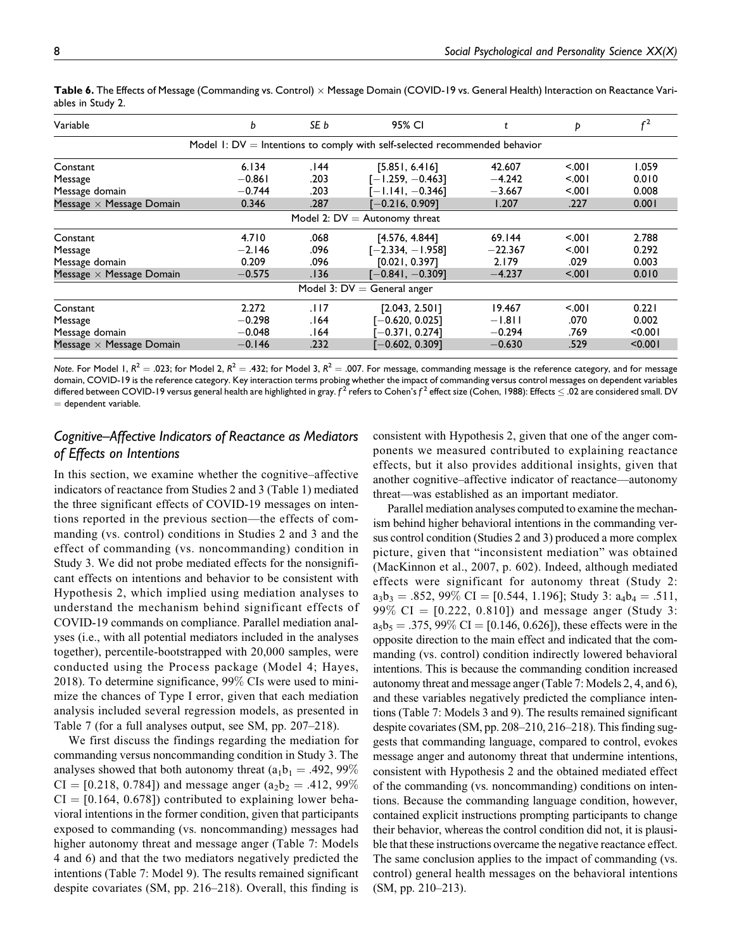| Variable                        | b        | SE b | 95% CI                                                                       |           | Þ     | r <sup>2</sup> |
|---------------------------------|----------|------|------------------------------------------------------------------------------|-----------|-------|----------------|
|                                 |          |      | Model 1: $DV =$ Intentions to comply with self-selected recommended behavior |           |       |                |
| Constant                        | 6.134    | 144. | [5.851, 6.416]                                                               | 42.607    | 5.001 | 1.059          |
| Message                         | $-0.861$ | .203 | $[-1.259, -0.463]$                                                           | $-4.242$  | 5.001 | 0.010          |
| Message domain                  | $-0.744$ | .203 | $-1.141, -0.346$ ]                                                           | $-3.667$  | 5.001 | 0.008          |
| Message $\times$ Message Domain | 0.346    | .287 | $-0.216, 0.9091$                                                             | 1.207     | .227  | 0.001          |
|                                 |          |      | Model 2: $DV =$ Autonomy threat                                              |           |       |                |
| Constant                        | 4.710    | .068 | [4.576, 4.844]                                                               | 69.144    | < 001 | 2.788          |
| Message                         | $-2.146$ | .096 | $[-2.334, -1.958]$                                                           | $-22.367$ | < 001 | 0.292          |
| Message domain                  | 0.209    | .096 | [0.021, 0.397]                                                               | 2.179     | .029  | 0.003          |
| Message $\times$ Message Domain | $-0.575$ | .136 | $[-0.841, -0.309]$                                                           | $-4.237$  | 5.001 | 0.010          |
|                                 |          |      | Model 3: $DV =$ General anger                                                |           |       |                |
| Constant                        | 2.272    | .117 | [2.043, 2.501]                                                               | 19.467    | 5.001 | 0.221          |
| Message                         | $-0.298$ | .164 | $-0.620, 0.0251$                                                             | $-1.811$  | .070  | 0.002          |
| Message domain                  | $-0.048$ | 164. | $-0.371, 0.2741$                                                             | $-0.294$  | .769  | < 0.001        |
| Message $\times$ Message Domain | $-0.146$ | .232 | $-0.602, 0.309$ ]                                                            | $-0.630$  | .529  | < 0.001        |

Table 6. The Effects of Message (Commanding vs. Control) × Message Domain (COVID-19 vs. General Health) Interaction on Reactance Variables in Study 2.

*Note*. For Model 1,  $R^2 = .023$ ; for Model 2,  $R^2 = .432$ ; for Model 3,  $R^2 = .007$ . For message, commanding message is the reference category, and for message domain, COVID-19 is the reference category. Key interaction terms probing whether the impact of commanding versus control messages on dependent variables differed between COVID-19 versus general health are highlighted in gray.  $f^2$  refers to Cohen's  $f^2$  effect size (Cohen, 1988): Effects  $\leq .02$  are considered small. DV  $=$  dependent variable.

## *Cognitive–Affective Indicators of Reactance as Mediators of Effects on Intentions*

In this section, we examine whether the cognitive–affective indicators of reactance from Studies 2 and 3 (Table 1) mediated the three significant effects of COVID-19 messages on intentions reported in the previous section—the effects of commanding (vs. control) conditions in Studies 2 and 3 and the effect of commanding (vs. noncommanding) condition in Study 3. We did not probe mediated effects for the nonsignificant effects on intentions and behavior to be consistent with Hypothesis 2, which implied using mediation analyses to understand the mechanism behind significant effects of COVID-19 commands on compliance. Parallel mediation analyses (i.e., with all potential mediators included in the analyses together), percentile-bootstrapped with 20,000 samples, were conducted using the Process package (Model 4; Hayes, 2018). To determine significance, 99% CIs were used to minimize the chances of Type I error, given that each mediation analysis included several regression models, as presented in Table 7 (for a full analyses output, see SM, pp. 207–218).

We first discuss the findings regarding the mediation for commanding versus noncommanding condition in Study 3. The analyses showed that both autonomy threat ( $a_1b_1 = .492, 99\%$ )  $CI = [0.218, 0.784]$  and message anger (a<sub>2</sub>b<sub>2</sub> = .412, 99%)  $CI = [0.164, 0.678]$  contributed to explaining lower behavioral intentions in the former condition, given that participants exposed to commanding (vs. noncommanding) messages had higher autonomy threat and message anger (Table 7: Models 4 and 6) and that the two mediators negatively predicted the intentions (Table 7: Model 9). The results remained significant despite covariates (SM, pp. 216–218). Overall, this finding is

consistent with Hypothesis 2, given that one of the anger components we measured contributed to explaining reactance effects, but it also provides additional insights, given that another cognitive–affective indicator of reactance—autonomy threat—was established as an important mediator.

Parallel mediation analyses computed to examine the mechanism behind higher behavioral intentions in the commanding versus control condition (Studies 2 and 3) produced a more complex picture, given that "inconsistent mediation" was obtained (MacKinnon et al., 2007, p. 602). Indeed, although mediated effects were significant for autonomy threat (Study 2:  $a_3b_3 = .852, 99\% \text{ CI} = [0.544, 1.196]$ ; Study 3:  $a_4b_4 = .511$ , 99% CI =  $[0.222, 0.810]$  and message anger (Study 3:  $a_5b_5 = .375, 99\% \text{ CI} = [0.146, 0.626]$ , these effects were in the opposite direction to the main effect and indicated that the commanding (vs. control) condition indirectly lowered behavioral intentions. This is because the commanding condition increased autonomy threat and message anger (Table 7: Models 2, 4, and 6), and these variables negatively predicted the compliance intentions (Table 7: Models 3 and 9). The results remained significant despite covariates (SM, pp. 208–210, 216–218). This finding suggests that commanding language, compared to control, evokes message anger and autonomy threat that undermine intentions, consistent with Hypothesis 2 and the obtained mediated effect of the commanding (vs. noncommanding) conditions on intentions. Because the commanding language condition, however, contained explicit instructions prompting participants to change their behavior, whereas the control condition did not, it is plausible that these instructions overcame the negative reactance effect. The same conclusion applies to the impact of commanding (vs. control) general health messages on the behavioral intentions (SM, pp. 210–213).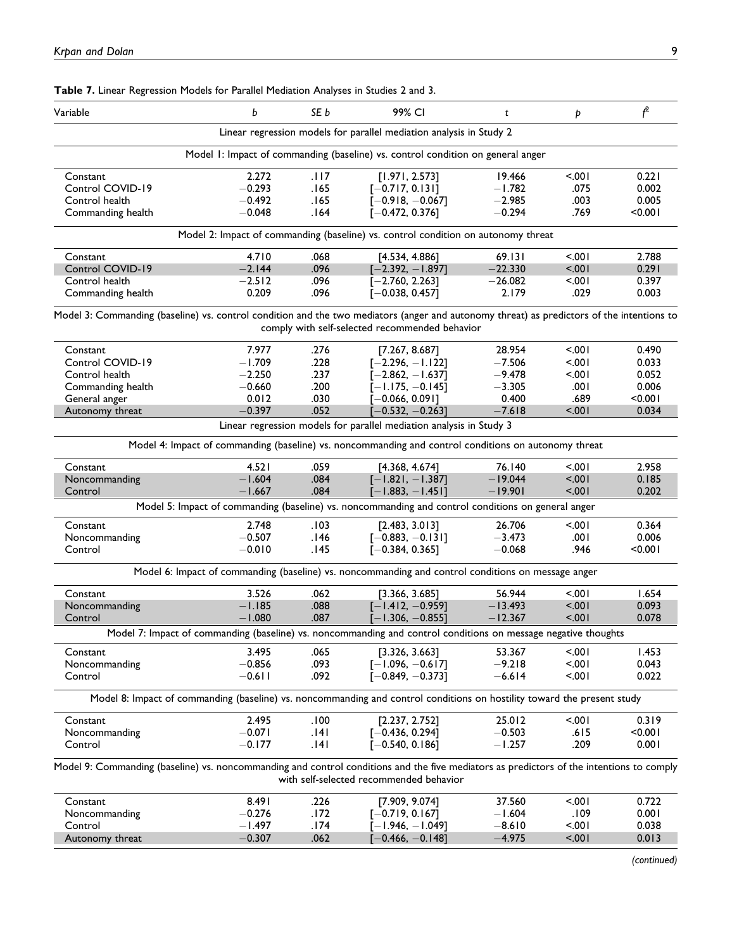| Variable                                                                                                                                  | b        | SE b   | 99% CI                                                                                                                   | t         | Þ       | $f^2$   |
|-------------------------------------------------------------------------------------------------------------------------------------------|----------|--------|--------------------------------------------------------------------------------------------------------------------------|-----------|---------|---------|
|                                                                                                                                           |          |        | Linear regression models for parallel mediation analysis in Study 2                                                      |           |         |         |
|                                                                                                                                           |          |        | Model 1: Impact of commanding (baseline) vs. control condition on general anger                                          |           |         |         |
| Constant                                                                                                                                  | 2.272    | .। । 7 | [1.971, 2.573]                                                                                                           | 19.466    | 5.001   | 0.221   |
| Control COVID-19                                                                                                                          | $-0.293$ | .165   | $[-0.717, 0.131]$                                                                                                        | $-1.782$  | .075    | 0.002   |
| Control health                                                                                                                            | $-0.492$ | .165   | $[-0.918, -0.067]$                                                                                                       | $-2.985$  | .003    | 0.005   |
| Commanding health                                                                                                                         | $-0.048$ | .164   | $[-0.472, 0.376]$                                                                                                        | $-0.294$  | .769    | < 0.001 |
|                                                                                                                                           |          |        | Model 2: Impact of commanding (baseline) vs. control condition on autonomy threat                                        |           |         |         |
| Constant                                                                                                                                  | 4.710    | .068   | [4.534, 4.886]                                                                                                           | 69.131    | 5.001   | 2.788   |
| Control COVID-19                                                                                                                          | $-2.144$ | .096   | $[-2.392, -1.897]$                                                                                                       | $-22.330$ | $100$ . | 0.291   |
| Control health                                                                                                                            | $-2.512$ | .096   | $[-2.760, 2.263]$                                                                                                        | $-26.082$ | < 001   | 0.397   |
| Commanding health                                                                                                                         | 0.209    | .096   | $[-0.038, 0.457]$                                                                                                        | 2.179     | .029    | 0.003   |
| Model 3: Commanding (baseline) vs. control condition and the two mediators (anger and autonomy threat) as predictors of the intentions to |          |        | comply with self-selected recommended behavior                                                                           |           |         |         |
| Constant                                                                                                                                  | 7.977    | .276   | [7.267, 8.687]                                                                                                           | 28.954    | 5.001   | 0.490   |
| Control COVID-19                                                                                                                          | $-1.709$ | .228   | $[-2.296, -1.122]$                                                                                                       | $-7.506$  | 5.001   | 0.033   |
| Control health                                                                                                                            | $-2.250$ | .237   | $[-2.862, -1.637]$                                                                                                       | $-9.478$  | 5.001   | 0.052   |
| Commanding health                                                                                                                         | $-0.660$ | .200   | $-1.175, -0.145$                                                                                                         | $-3.305$  | .00۱    | 0.006   |
| General anger                                                                                                                             | 0.012    | .030   | $-0.066, 0.0911$                                                                                                         | 0.400     | .689    | < 0.001 |
| Autonomy threat                                                                                                                           | $-0.397$ | .052   | $-0.532, -0.263]$                                                                                                        | $-7.618$  | 5.001   | 0.034   |
|                                                                                                                                           |          |        | Linear regression models for parallel mediation analysis in Study 3                                                      |           |         |         |
|                                                                                                                                           |          |        | Model 4: Impact of commanding (baseline) vs. noncommanding and control conditions on autonomy threat                     |           |         |         |
|                                                                                                                                           |          |        |                                                                                                                          |           |         |         |
| Constant                                                                                                                                  | 4.521    | .059   | [4.368, 4.674]                                                                                                           | 76.140    | < 001   | 2.958   |
| Noncommanding                                                                                                                             | $-1.604$ | .084   | $[-1.821, -1.387]$                                                                                                       | $-19.044$ | 5.001   | 0.185   |
| Control                                                                                                                                   | $-1.667$ | .084   | $-1.883, -1.451$ ]<br>Model 5: Impact of commanding (baseline) vs. noncommanding and control conditions on general anger | $-19.901$ | 5.001   | 0.202   |
|                                                                                                                                           |          |        |                                                                                                                          |           |         |         |
| Constant                                                                                                                                  | 2.748    | .103   | [2.483, 3.013]                                                                                                           | 26.706    | 5.001   | 0.364   |
| Noncommanding                                                                                                                             | $-0.507$ | .146   | $[-0.883, -0.131]$                                                                                                       | $-3.473$  | .001    | 0.006   |
| Control                                                                                                                                   | $-0.010$ | .145   | $[-0.384, 0.365]$                                                                                                        | $-0.068$  | .946    | < 0.001 |
|                                                                                                                                           |          |        | Model 6: Impact of commanding (baseline) vs. noncommanding and control conditions on message anger                       |           |         |         |
| Constant                                                                                                                                  | 3.526    | .062   | [3.366, 3.685]                                                                                                           | 56.944    | 5.001   | 1.654   |
| Noncommanding                                                                                                                             | $-1.185$ | .088   | $[-1.412, -0.959]$                                                                                                       | $-13.493$ | < .001  | 0.093   |
| Control                                                                                                                                   | $-1.080$ | .087   | $[-1.306, -0.855]$                                                                                                       | $-12.367$ | < .001  | 0.078   |
|                                                                                                                                           |          |        | Model 7: Impact of commanding (baseline) vs. noncommanding and control conditions on message negative thoughts           |           |         |         |
| Constant                                                                                                                                  | 3.495    | .065   | [3.326, 3.663]                                                                                                           | 53.367    | 5.001   | 1.453   |
| Noncommanding                                                                                                                             | $-0.856$ | .093   | $[-1.096, -0.617]$                                                                                                       | $-9.218$  | < 0.01  | 0.043   |
| Control                                                                                                                                   | $-0.611$ | .092   | $[-0.849, -0.373]$                                                                                                       | $-6.614$  | 5.001   | 0.022   |
|                                                                                                                                           |          |        | Model 8: Impact of commanding (baseline) vs. noncommanding and control conditions on hostility toward the present study  |           |         |         |
| Constant                                                                                                                                  | 2.495    | .100   | [2.237, 2.752]                                                                                                           | 25.012    | 5.001   | 0.319   |
| Noncommanding                                                                                                                             | $-0.071$ | .141   | $[-0.436, 0.294]$                                                                                                        | $-0.503$  | .615    | < 0.001 |
| Control                                                                                                                                   | $-0.177$ | .141   | $[-0.540, 0.186]$                                                                                                        | $-1.257$  | .209    | 0.001   |
| Model 9: Commanding (baseline) vs. noncommanding and control conditions and the five mediators as predictors of the intentions to comply  |          |        | with self-selected recommended behavior                                                                                  |           |         |         |
| Constant                                                                                                                                  | 8.491    | .226   | [7.909, 9.074]                                                                                                           | 37.560    | 5.001   | 0.722   |
| Noncommanding                                                                                                                             | $-0.276$ | .172   | $[-0.719, 0.167]$                                                                                                        | $-1.604$  | .109    | 0.001   |
| Control                                                                                                                                   | $-1.497$ | .174   | – I.946, – I.049]                                                                                                        | $-8.610$  | 5.001   | 0.038   |
| Autonomy threat                                                                                                                           | $-0.307$ | .062   | $-0.466, -0.148]$                                                                                                        | $-4.975$  | 5.001   | 0.013   |
|                                                                                                                                           |          |        |                                                                                                                          |           |         |         |

**Table 7.** Linear Regression Models for Parallel Mediation Analyses in Studies 2 and 3.

*(continued)*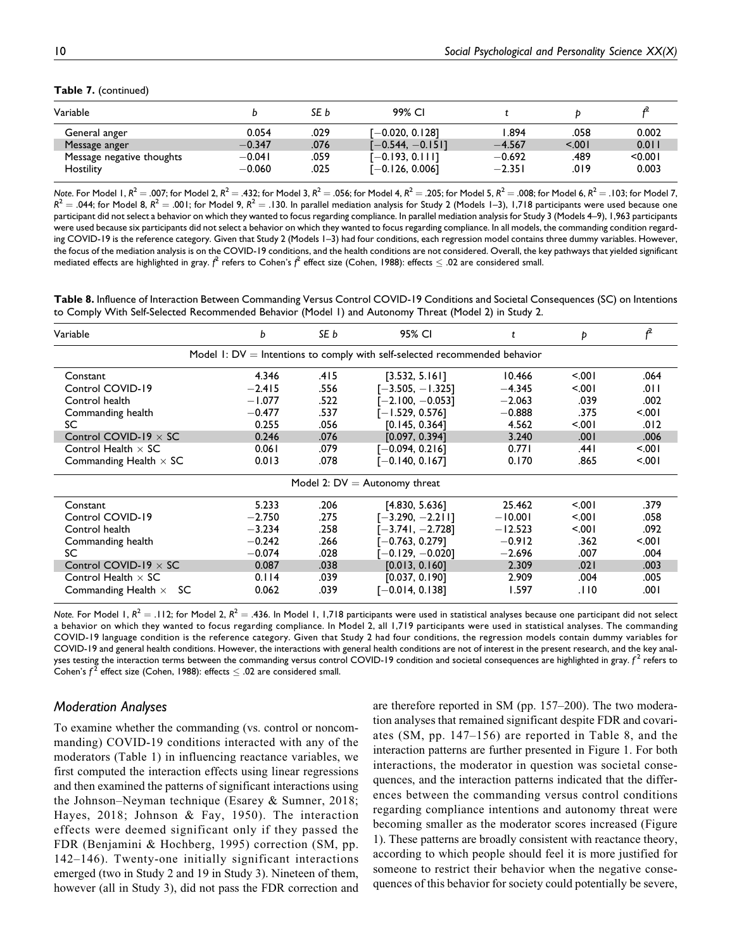#### **Table 7.** (continued)

| Variable                  |          | SE b | 99% CI             |          |       |         |
|---------------------------|----------|------|--------------------|----------|-------|---------|
| General anger             | 0.054    | .029 | Г—0.020. 0.1281    | .894     | .058  | 0.002   |
| Message anger             | $-0.347$ | .076 | $[-0.544, -0.151]$ | $-4.567$ | 5.001 | 0.011   |
| Message negative thoughts | $-0.041$ | .059 | [-0.193, 0.111]    | $-0.692$ | .489  | < 0.001 |
| <b>Hostility</b>          | $-0.060$ | .025 | [-0.126, 0.006]    | $-2.351$ | .019  | 0.003   |

*Note*. For Model 1,  $R^2 = .007$ ; for Model 2,  $R^2 = .432$ ; for Model 3,  $R^2 = .056$ ; for Model 4,  $R^2 = .205$ ; for Model 5,  $R^2 = .008$ ; for Model 6,  $R^2 = .103$ ; for Model 7,  $R^2 = .044$ ; for Model 8,  $R^2 = .001$ ; for Model 9,  $R^2 = .130$ . In parallel mediation analysis for Study 2 (Models 1–3), 1,718 participants were used because one participant did not select a behavior on which they wanted to focus regarding compliance. In parallel mediation analysis for Study 3 (Models 4–9), 1,963 participants were used because six participants did not select a behavior on which they wanted to focus regarding compliance. In all models, the commanding condition regarding COVID-19 is the reference category. Given that Study 2 (Models 1–3) had four conditions, each regression model contains three dummy variables. However, the focus of the mediation analysis is on the COVID-19 conditions, and the health conditions are not considered. Overall, the key pathways that yielded significant mediated effects are highlighted in gray. *f<sup>2</sup>* refers to Cohen's *f<sup>2</sup> effect size (Cohen, 1988): effects*  $\leq .02$  *are considered small.* 

**Table 8.** Influence of Interaction Between Commanding Versus Control COVID-19 Conditions and Societal Consequences (SC) on Intentions to Comply With Self-Selected Recommended Behavior (Model 1) and Autonomy Threat (Model 2) in Study 2.

| Variable                         | b        | SE b | 95% CI                                                                        | t         | Þ     | f     |
|----------------------------------|----------|------|-------------------------------------------------------------------------------|-----------|-------|-------|
|                                  |          |      | Model $I: DV = Int$ entions to comply with self-selected recommended behavior |           |       |       |
| Constant                         | 4.346    | .415 | [3.532, 5.161]                                                                | 10.466    | 5.001 | .064  |
| Control COVID-19                 | $-2.415$ | .556 | $[-3.505, -1.325]$                                                            | $-4.345$  | 5001  | .011  |
| Control health                   | $-1.077$ | .522 | $-2.100, -0.053$ ]                                                            | $-2.063$  | .039  | .002  |
| Commanding health                | $-0.477$ | .537 | $[-1.529, 0.576]$                                                             | $-0.888$  | .375  | 5.001 |
| SC                               | 0.255    | .056 | [0.145, 0.364]                                                                | 4.562     | 5.001 | .012  |
| Control COVID-19 $\times$ SC     | 0.246    | .076 | [0.097, 0.394]                                                                | 3.240     | .001  | .006  |
| Control Health $\times$ SC       | 0.061    | .079 | $[-0.094, 0.216]$                                                             | 0.771     | ا 44. | 5.001 |
| Commanding Health $\times$ SC    | 0.013    | .078 | [-0.140, 0.167]                                                               | 0.170     | .865  | 5.001 |
|                                  |          |      | Model 2: $DV =$ Autonomy threat                                               |           |       |       |
| Constant                         | 5.233    | .206 | [4.830, 5.636]                                                                | 25.462    | 5001  | .379  |
| Control COVID-19                 | $-2.750$ | .275 | [-3.290, -2.211]                                                              | $-10.001$ | 5.001 | .058  |
| Control health                   | $-3.234$ | .258 | $[-3.741, -2.728]$                                                            | $-12.523$ | 5.001 | .092  |
| Commanding health                | $-0.242$ | .266 | $-0.763, 0.2791$                                                              | $-0.912$  | .362  | 5.001 |
| SC                               | $-0.074$ | .028 | $-0.129, -0.0201$                                                             | $-2.696$  | .007  | .004  |
| Control COVID-19 $\times$ SC     | 0.087    | .038 | [0.013, 0.160]                                                                | 2.309     | .021  | .003  |
| Control Health $\times$ SC       | 0.114    | .039 | [0.037, 0.190]                                                                | 2.909     | .004  | .005  |
| Commanding Health $\times$<br>SC | 0.062    | .039 | [-0.014, 0.138]                                                               | 1.597     | .110  | ا 00. |

*Note.* For Model 1,  $R^2 = .112$ ; for Model 2,  $R^2 = .436$ . In Model 1, 1,718 participants were used in statistical analyses because one participant did not select a behavior on which they wanted to focus regarding compliance. In Model 2, all 1,719 participants were used in statistical analyses. The commanding COVID-19 language condition is the reference category. Given that Study 2 had four conditions, the regression models contain dummy variables for COVID-19 and general health conditions. However, the interactions with general health conditions are not of interest in the present research, and the key analyses testing the interaction terms between the commanding versus control COVID-19 condition and societal consequences are highlighted in gray. *f* <sup>2</sup> refers to Cohen's  $f^2$  effect size (Cohen, 1988): effects  $\leq .02$  are considered small.

#### *Moderation Analyses*

To examine whether the commanding (vs. control or noncommanding) COVID-19 conditions interacted with any of the moderators (Table 1) in influencing reactance variables, we first computed the interaction effects using linear regressions and then examined the patterns of significant interactions using the Johnson–Neyman technique (Esarey & Sumner, 2018; Hayes, 2018; Johnson & Fay, 1950). The interaction effects were deemed significant only if they passed the FDR (Benjamini & Hochberg, 1995) correction (SM, pp. 142–146). Twenty-one initially significant interactions emerged (two in Study 2 and 19 in Study 3). Nineteen of them, however (all in Study 3), did not pass the FDR correction and

are therefore reported in SM (pp. 157–200). The two moderation analyses that remained significant despite FDR and covariates (SM, pp. 147–156) are reported in Table 8, and the interaction patterns are further presented in Figure 1. For both interactions, the moderator in question was societal consequences, and the interaction patterns indicated that the differences between the commanding versus control conditions regarding compliance intentions and autonomy threat were becoming smaller as the moderator scores increased (Figure 1). These patterns are broadly consistent with reactance theory, according to which people should feel it is more justified for someone to restrict their behavior when the negative consequences of this behavior for society could potentially be severe,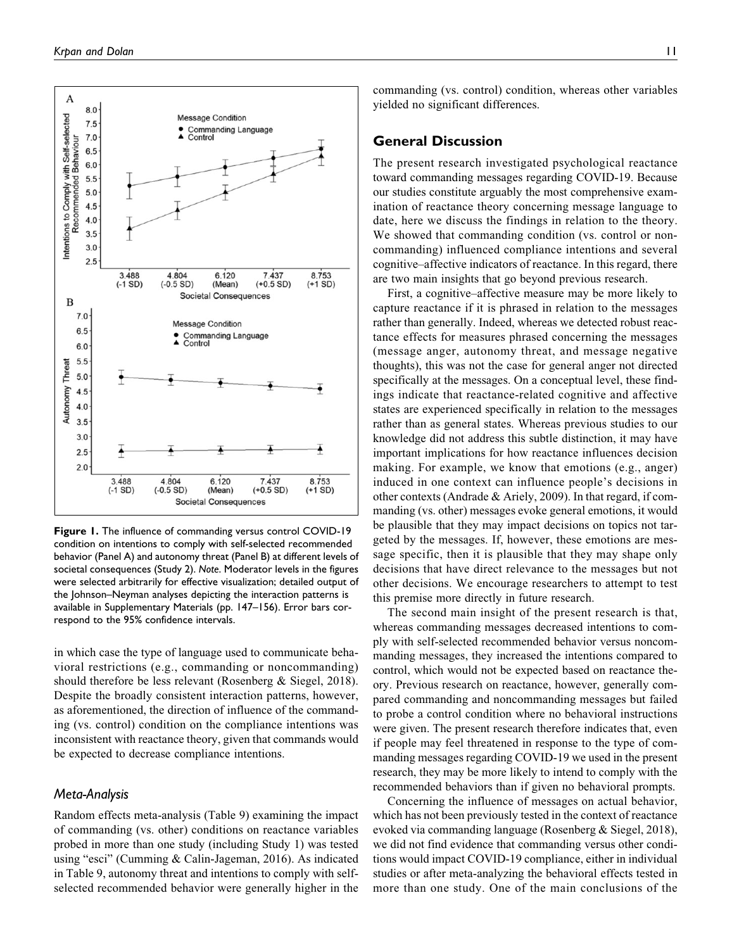

**Figure 1.** The influence of commanding versus control COVID-19 condition on intentions to comply with self-selected recommended behavior (Panel A) and autonomy threat (Panel B) at different levels of societal consequences (Study 2). *Note*. Moderator levels in the figures were selected arbitrarily for effective visualization; detailed output of the Johnson–Neyman analyses depicting the interaction patterns is available in Supplementary Materials (pp. 147–156). Error bars correspond to the 95% confidence intervals.

in which case the type of language used to communicate behavioral restrictions (e.g., commanding or noncommanding) should therefore be less relevant (Rosenberg & Siegel, 2018). Despite the broadly consistent interaction patterns, however, as aforementioned, the direction of influence of the commanding (vs. control) condition on the compliance intentions was inconsistent with reactance theory, given that commands would be expected to decrease compliance intentions.

## *Meta-Analysis*

Random effects meta-analysis (Table 9) examining the impact of commanding (vs. other) conditions on reactance variables probed in more than one study (including Study 1) was tested using "esci" (Cumming & Calin-Jageman, 2016). As indicated in Table 9, autonomy threat and intentions to comply with selfselected recommended behavior were generally higher in the

commanding (vs. control) condition, whereas other variables yielded no significant differences.

## **General Discussion**

The present research investigated psychological reactance toward commanding messages regarding COVID-19. Because our studies constitute arguably the most comprehensive examination of reactance theory concerning message language to date, here we discuss the findings in relation to the theory. We showed that commanding condition (vs. control or noncommanding) influenced compliance intentions and several cognitive–affective indicators of reactance. In this regard, there are two main insights that go beyond previous research.

First, a cognitive–affective measure may be more likely to capture reactance if it is phrased in relation to the messages rather than generally. Indeed, whereas we detected robust reactance effects for measures phrased concerning the messages (message anger, autonomy threat, and message negative thoughts), this was not the case for general anger not directed specifically at the messages. On a conceptual level, these findings indicate that reactance-related cognitive and affective states are experienced specifically in relation to the messages rather than as general states. Whereas previous studies to our knowledge did not address this subtle distinction, it may have important implications for how reactance influences decision making. For example, we know that emotions (e.g., anger) induced in one context can influence people's decisions in other contexts (Andrade & Ariely, 2009). In that regard, if commanding (vs. other) messages evoke general emotions, it would be plausible that they may impact decisions on topics not targeted by the messages. If, however, these emotions are message specific, then it is plausible that they may shape only decisions that have direct relevance to the messages but not other decisions. We encourage researchers to attempt to test this premise more directly in future research.

The second main insight of the present research is that, whereas commanding messages decreased intentions to comply with self-selected recommended behavior versus noncommanding messages, they increased the intentions compared to control, which would not be expected based on reactance theory. Previous research on reactance, however, generally compared commanding and noncommanding messages but failed to probe a control condition where no behavioral instructions were given. The present research therefore indicates that, even if people may feel threatened in response to the type of commanding messages regarding COVID-19 we used in the present research, they may be more likely to intend to comply with the recommended behaviors than if given no behavioral prompts.

Concerning the influence of messages on actual behavior, which has not been previously tested in the context of reactance evoked via commanding language (Rosenberg & Siegel, 2018), we did not find evidence that commanding versus other conditions would impact COVID-19 compliance, either in individual studies or after meta-analyzing the behavioral effects tested in more than one study. One of the main conclusions of the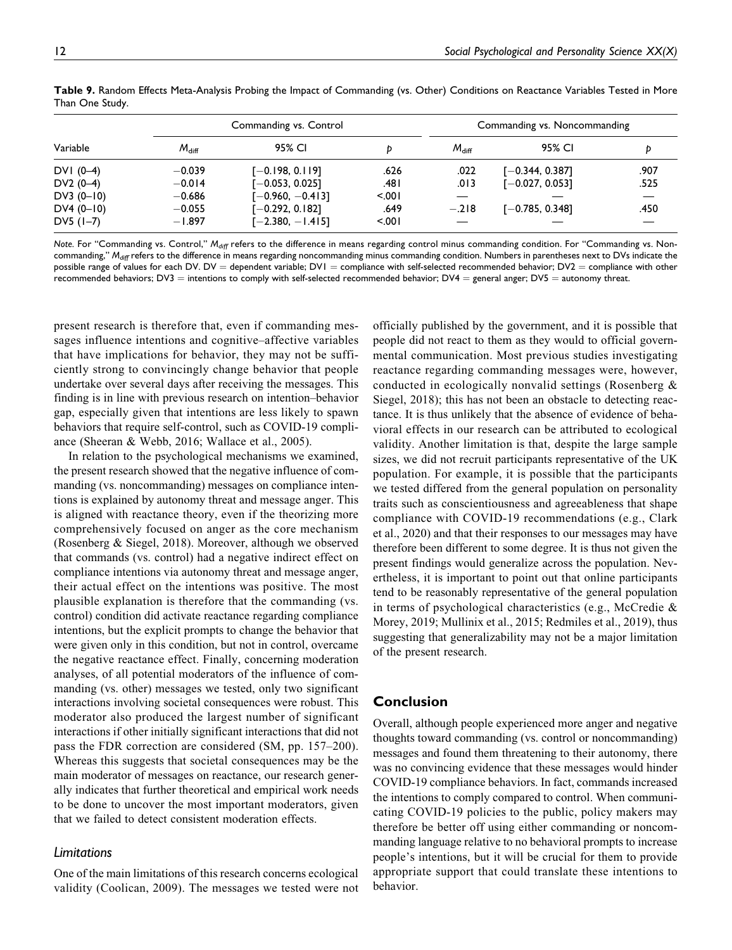|            |                | Commanding vs. Control |       | Commanding vs. Noncommanding |                     |      |  |
|------------|----------------|------------------------|-------|------------------------------|---------------------|------|--|
| Variable   | $M_{\rm diff}$ | 95% CI                 |       | $M_{\text{diff}}$            | 95% CI              |      |  |
| DVI (0-4)  | $-0.039$       | $[-0.198, 0.119]$      | .626  | .022                         | [ $-0.344, 0.387$ ] | .907 |  |
| DV2 (0-4)  | $-0.014$       | $[-0.053, 0.025]$      | ا 48. | .013                         | $[-0.027, 0.053]$   | .525 |  |
| DV3 (0-10) | $-0.686$       | $[-0.960, -0.413]$     | 5001  |                              |                     |      |  |
| DV4 (0-10) | $-0.055$       | [-0.292, 0.182]        | .649  | $-.218$                      | $[-0.785, 0.348]$   | .450 |  |
| DV5 (1–7)  | $-1.897$       | $[-2.380, -1.415]$     | 5001  |                              |                     |      |  |
|            |                |                        |       |                              |                     |      |  |

**Table 9.** Random Effects Meta-Analysis Probing the Impact of Commanding (vs. Other) Conditions on Reactance Variables Tested in More Than One Study.

*Note.* For "Commanding vs. Control," *Mdiff* refers to the difference in means regarding control minus commanding condition. For "Commanding vs. Noncommanding," M<sub>diff</sub> refers to the difference in means regarding noncommanding minus commanding condition. Numbers in parentheses next to DVs indicate the possible range of values for each DV. DV = dependent variable; DV1 = compliance with self-selected recommended behavior; DV2 = compliance with other recommended behaviors; DV3 = intentions to comply with self-selected recommended behavior; DV4 = general anger; DV5 = autonomy threat.

present research is therefore that, even if commanding messages influence intentions and cognitive–affective variables that have implications for behavior, they may not be sufficiently strong to convincingly change behavior that people undertake over several days after receiving the messages. This finding is in line with previous research on intention–behavior gap, especially given that intentions are less likely to spawn behaviors that require self-control, such as COVID-19 compliance (Sheeran & Webb, 2016; Wallace et al., 2005).

In relation to the psychological mechanisms we examined, the present research showed that the negative influence of commanding (vs. noncommanding) messages on compliance intentions is explained by autonomy threat and message anger. This is aligned with reactance theory, even if the theorizing more comprehensively focused on anger as the core mechanism (Rosenberg & Siegel, 2018). Moreover, although we observed that commands (vs. control) had a negative indirect effect on compliance intentions via autonomy threat and message anger, their actual effect on the intentions was positive. The most plausible explanation is therefore that the commanding (vs. control) condition did activate reactance regarding compliance intentions, but the explicit prompts to change the behavior that were given only in this condition, but not in control, overcame the negative reactance effect. Finally, concerning moderation analyses, of all potential moderators of the influence of commanding (vs. other) messages we tested, only two significant interactions involving societal consequences were robust. This moderator also produced the largest number of significant interactions if other initially significant interactions that did not pass the FDR correction are considered (SM, pp. 157–200). Whereas this suggests that societal consequences may be the main moderator of messages on reactance, our research generally indicates that further theoretical and empirical work needs to be done to uncover the most important moderators, given that we failed to detect consistent moderation effects.

## *Limitations*

One of the main limitations of this research concerns ecological validity (Coolican, 2009). The messages we tested were not officially published by the government, and it is possible that people did not react to them as they would to official governmental communication. Most previous studies investigating reactance regarding commanding messages were, however, conducted in ecologically nonvalid settings (Rosenberg & Siegel, 2018); this has not been an obstacle to detecting reactance. It is thus unlikely that the absence of evidence of behavioral effects in our research can be attributed to ecological validity. Another limitation is that, despite the large sample sizes, we did not recruit participants representative of the UK population. For example, it is possible that the participants we tested differed from the general population on personality traits such as conscientiousness and agreeableness that shape compliance with COVID-19 recommendations (e.g., Clark et al., 2020) and that their responses to our messages may have therefore been different to some degree. It is thus not given the present findings would generalize across the population. Nevertheless, it is important to point out that online participants tend to be reasonably representative of the general population in terms of psychological characteristics (e.g., McCredie & Morey, 2019; Mullinix et al., 2015; Redmiles et al., 2019), thus suggesting that generalizability may not be a major limitation of the present research.

## **Conclusion**

Overall, although people experienced more anger and negative thoughts toward commanding (vs. control or noncommanding) messages and found them threatening to their autonomy, there was no convincing evidence that these messages would hinder COVID-19 compliance behaviors. In fact, commands increased the intentions to comply compared to control. When communicating COVID-19 policies to the public, policy makers may therefore be better off using either commanding or noncommanding language relative to no behavioral prompts to increase people's intentions, but it will be crucial for them to provide appropriate support that could translate these intentions to behavior.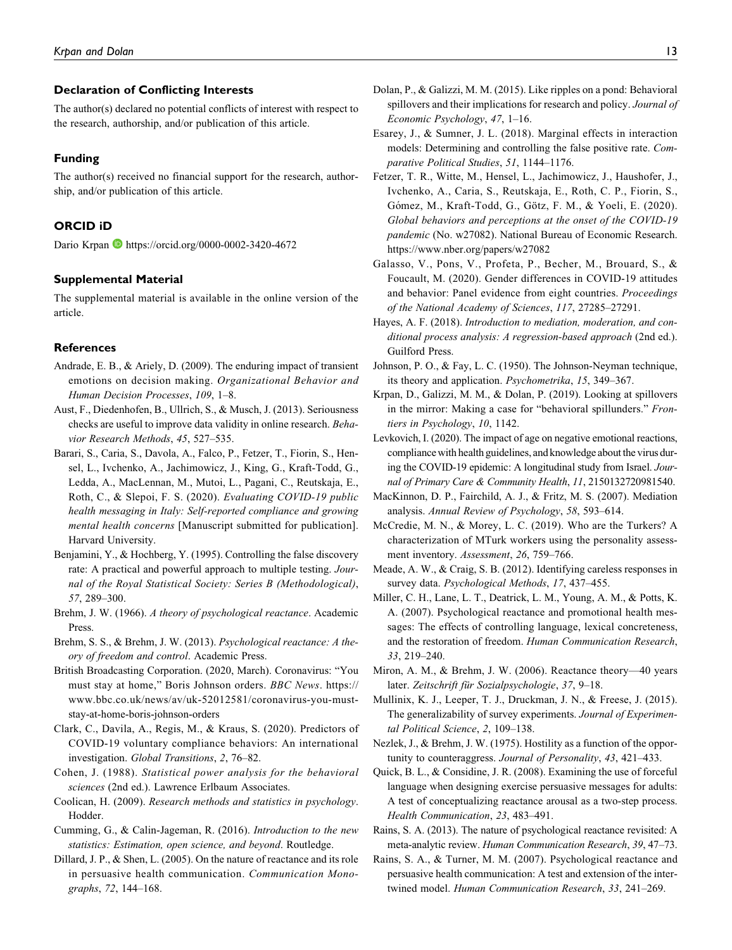## **Declaration of Conflicting Interests**

The author(s) declared no potential conflicts of interest with respect to the research, authorship, and/or publication of this article.

## **Funding**

The author(s) received no financial support for the research, authorship, and/or publication of this article.

## **ORCID iD**

Dario Krpan **b** <https://orcid.org/0000-0002-3420-4672>

#### **Supplemental Material**

The supplemental material is available in the online version of the article.

### **References**

- Andrade, E. B., & Ariely, D. (2009). The enduring impact of transient emotions on decision making. Organizational Behavior and Human Decision Processes, 109, 1–8.
- Aust, F., Diedenhofen, B., Ullrich, S., & Musch, J. (2013). Seriousness checks are useful to improve data validity in online research. Behavior Research Methods, 45, 527–535.
- Barari, S., Caria, S., Davola, A., Falco, P., Fetzer, T., Fiorin, S., Hensel, L., Ivchenko, A., Jachimowicz, J., King, G., Kraft-Todd, G., Ledda, A., MacLennan, M., Mutoi, L., Pagani, C., Reutskaja, E., Roth, C., & Slepoi, F. S. (2020). Evaluating COVID-19 public health messaging in Italy: Self-reported compliance and growing mental health concerns [Manuscript submitted for publication]. Harvard University.
- Benjamini, Y., & Hochberg, Y. (1995). Controlling the false discovery rate: A practical and powerful approach to multiple testing. Journal of the Royal Statistical Society: Series B (Methodological), 57, 289–300.
- Brehm, J. W. (1966). A theory of psychological reactance. Academic Press.
- Brehm, S. S., & Brehm, J. W. (2013). Psychological reactance: A theory of freedom and control. Academic Press.
- British Broadcasting Corporation. (2020, March). Coronavirus: "You must stay at home," Boris Johnson orders. BBC News. [https://](https://www.bbc.co.uk/news/av/uk-52012581/coronavirus-you-must-stay-at-home-boris-johnson-orders) [www.bbc.co.uk/news/av/uk-52012581/coronavirus-you-must](https://www.bbc.co.uk/news/av/uk-52012581/coronavirus-you-must-stay-at-home-boris-johnson-orders)[stay-at-home-boris-johnson-orders](https://www.bbc.co.uk/news/av/uk-52012581/coronavirus-you-must-stay-at-home-boris-johnson-orders)
- Clark, C., Davila, A., Regis, M., & Kraus, S. (2020). Predictors of COVID-19 voluntary compliance behaviors: An international investigation. Global Transitions, 2, 76–82.
- Cohen, J. (1988). Statistical power analysis for the behavioral sciences (2nd ed.). Lawrence Erlbaum Associates.
- Coolican, H. (2009). Research methods and statistics in psychology. Hodder.
- Cumming, G., & Calin-Jageman, R. (2016). Introduction to the new statistics: Estimation, open science, and beyond. Routledge.
- Dillard, J. P., & Shen, L. (2005). On the nature of reactance and its role in persuasive health communication. Communication Monographs, 72, 144–168.
- Dolan, P., & Galizzi, M. M. (2015). Like ripples on a pond: Behavioral spillovers and their implications for research and policy. Journal of Economic Psychology, 47, 1–16.
- Esarey, J., & Sumner, J. L. (2018). Marginal effects in interaction models: Determining and controlling the false positive rate. Comparative Political Studies, 51, 1144–1176.
- Fetzer, T. R., Witte, M., Hensel, L., Jachimowicz, J., Haushofer, J., Ivchenko, A., Caria, S., Reutskaja, E., Roth, C. P., Fiorin, S., Gómez, M., Kraft-Todd, G., Götz, F. M., & Yoeli, E. (2020). Global behaviors and perceptions at the onset of the COVID-19 pandemic (No. w27082). National Bureau of Economic Research. <https://www.nber.org/papers/w27082>
- Galasso, V., Pons, V., Profeta, P., Becher, M., Brouard, S., & Foucault, M. (2020). Gender differences in COVID-19 attitudes and behavior: Panel evidence from eight countries. Proceedings of the National Academy of Sciences, 117, 27285–27291.
- Hayes, A. F. (2018). Introduction to mediation, moderation, and conditional process analysis: A regression-based approach (2nd ed.). Guilford Press.
- Johnson, P. O., & Fay, L. C. (1950). The Johnson-Neyman technique, its theory and application. Psychometrika, 15, 349–367.
- Krpan, D., Galizzi, M. M., & Dolan, P. (2019). Looking at spillovers in the mirror: Making a case for "behavioral spillunders." Frontiers in Psychology, 10, 1142.
- Levkovich, I. (2020). The impact of age on negative emotional reactions, compliance with health guidelines, and knowledge about the virus during the COVID-19 epidemic: A longitudinal study from Israel. Journal of Primary Care & Community Health, 11, 2150132720981540.
- MacKinnon, D. P., Fairchild, A. J., & Fritz, M. S. (2007). Mediation analysis. Annual Review of Psychology, 58, 593–614.
- McCredie, M. N., & Morey, L. C. (2019). Who are the Turkers? A characterization of MTurk workers using the personality assessment inventory. Assessment, 26, 759–766.
- Meade, A. W., & Craig, S. B. (2012). Identifying careless responses in survey data. Psychological Methods, 17, 437–455.
- Miller, C. H., Lane, L. T., Deatrick, L. M., Young, A. M., & Potts, K. A. (2007). Psychological reactance and promotional health messages: The effects of controlling language, lexical concreteness, and the restoration of freedom. Human Communication Research, 33, 219–240.
- Miron, A. M., & Brehm, J. W. (2006). Reactance theory—40 years later. Zeitschrift für Sozialpsychologie, 37, 9–18.
- Mullinix, K. J., Leeper, T. J., Druckman, J. N., & Freese, J. (2015). The generalizability of survey experiments. Journal of Experimental Political Science, 2, 109–138.
- Nezlek, J., & Brehm, J. W. (1975). Hostility as a function of the opportunity to counteraggress. Journal of Personality, 43, 421–433.
- Quick, B. L., & Considine, J. R. (2008). Examining the use of forceful language when designing exercise persuasive messages for adults: A test of conceptualizing reactance arousal as a two-step process. Health Communication, 23, 483–491.
- Rains, S. A. (2013). The nature of psychological reactance revisited: A meta-analytic review. Human Communication Research, 39, 47–73.
- Rains, S. A., & Turner, M. M. (2007). Psychological reactance and persuasive health communication: A test and extension of the intertwined model. Human Communication Research, 33, 241–269.